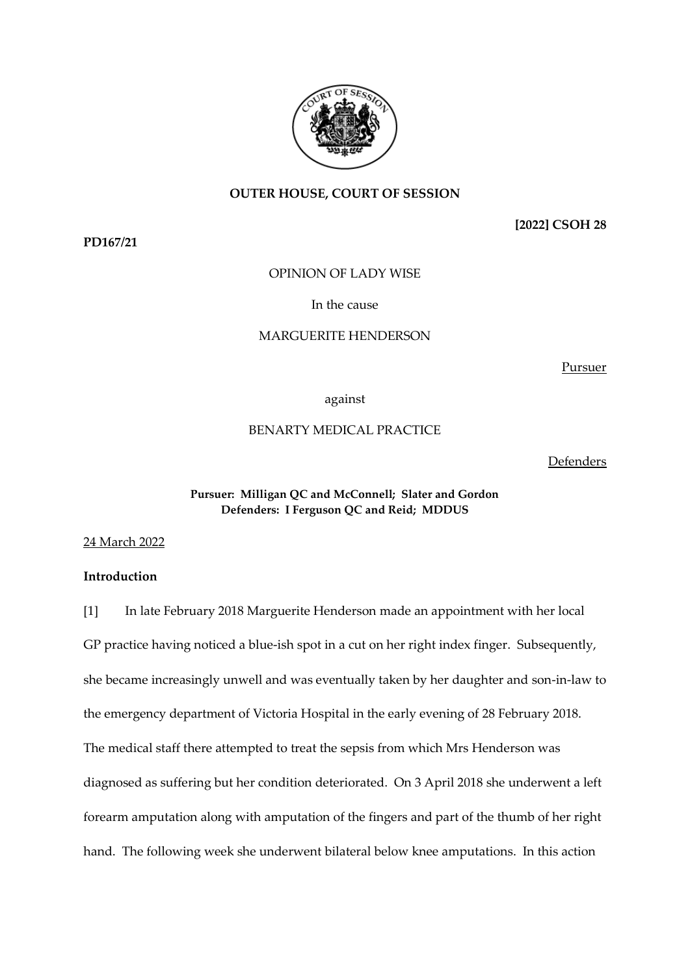

# **OUTER HOUSE, COURT OF SESSION**

**PD167/21**

**[2022] CSOH 28**

OPINION OF LADY WISE

### In the cause

# MARGUERITE HENDERSON

Pursuer

#### against

# BENARTY MEDICAL PRACTICE

Defenders

### **Pursuer: Milligan QC and McConnell; Slater and Gordon Defenders: I Ferguson QC and Reid; MDDUS**

24 March 2022

# **Introduction**

[1] In late February 2018 Marguerite Henderson made an appointment with her local GP practice having noticed a blue-ish spot in a cut on her right index finger. Subsequently, she became increasingly unwell and was eventually taken by her daughter and son-in-law to the emergency department of Victoria Hospital in the early evening of 28 February 2018. The medical staff there attempted to treat the sepsis from which Mrs Henderson was diagnosed as suffering but her condition deteriorated. On 3 April 2018 she underwent a left forearm amputation along with amputation of the fingers and part of the thumb of her right hand. The following week she underwent bilateral below knee amputations. In this action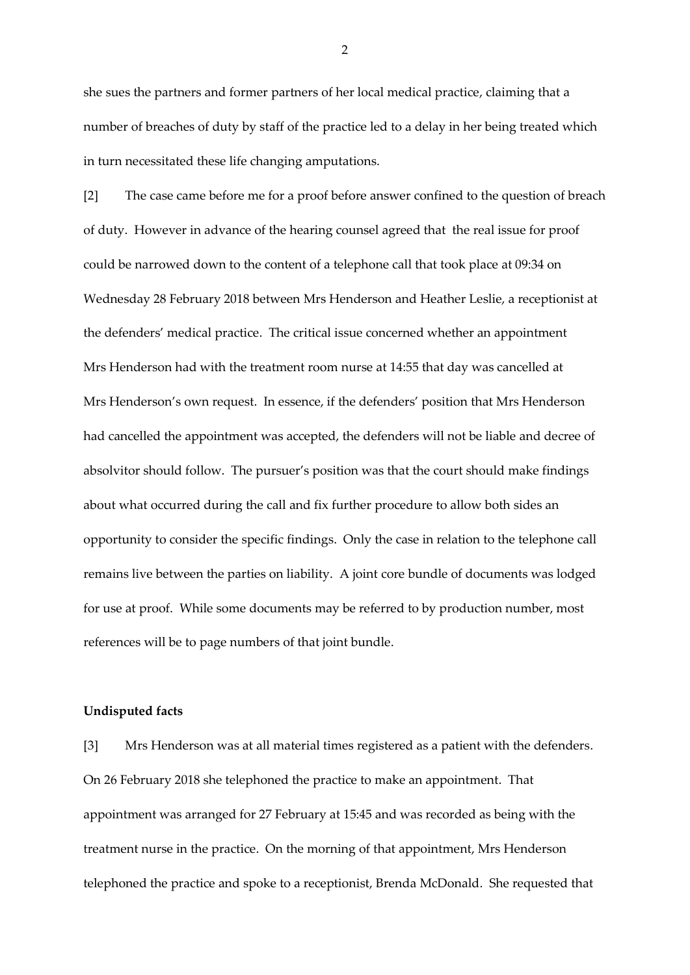she sues the partners and former partners of her local medical practice, claiming that a number of breaches of duty by staff of the practice led to a delay in her being treated which in turn necessitated these life changing amputations.

[2] The case came before me for a proof before answer confined to the question of breach of duty. However in advance of the hearing counsel agreed that the real issue for proof could be narrowed down to the content of a telephone call that took place at 09:34 on Wednesday 28 February 2018 between Mrs Henderson and Heather Leslie, a receptionist at the defenders' medical practice. The critical issue concerned whether an appointment Mrs Henderson had with the treatment room nurse at 14:55 that day was cancelled at Mrs Henderson's own request. In essence, if the defenders' position that Mrs Henderson had cancelled the appointment was accepted, the defenders will not be liable and decree of absolvitor should follow. The pursuer's position was that the court should make findings about what occurred during the call and fix further procedure to allow both sides an opportunity to consider the specific findings. Only the case in relation to the telephone call remains live between the parties on liability. A joint core bundle of documents was lodged for use at proof. While some documents may be referred to by production number, most references will be to page numbers of that joint bundle.

#### **Undisputed facts**

[3] Mrs Henderson was at all material times registered as a patient with the defenders. On 26 February 2018 she telephoned the practice to make an appointment. That appointment was arranged for 27 February at 15:45 and was recorded as being with the treatment nurse in the practice. On the morning of that appointment, Mrs Henderson telephoned the practice and spoke to a receptionist, Brenda McDonald. She requested that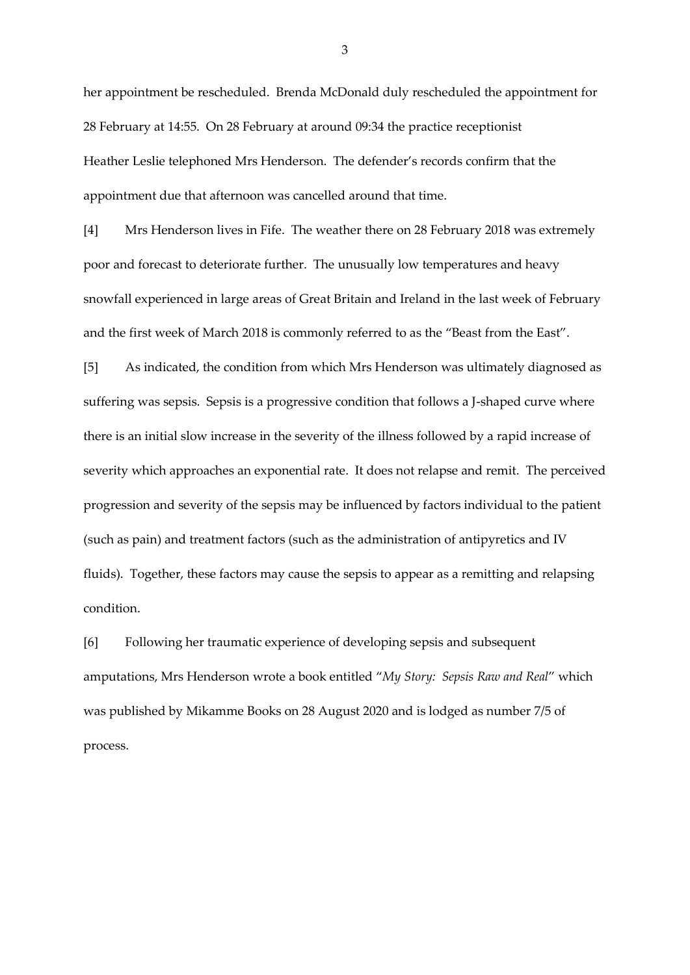her appointment be rescheduled. Brenda McDonald duly rescheduled the appointment for 28 February at 14:55. On 28 February at around 09:34 the practice receptionist Heather Leslie telephoned Mrs Henderson. The defender's records confirm that the appointment due that afternoon was cancelled around that time.

[4] Mrs Henderson lives in Fife. The weather there on 28 February 2018 was extremely poor and forecast to deteriorate further. The unusually low temperatures and heavy snowfall experienced in large areas of Great Britain and Ireland in the last week of February and the first week of March 2018 is commonly referred to as the "Beast from the East".

[5] As indicated, the condition from which Mrs Henderson was ultimately diagnosed as suffering was sepsis. Sepsis is a progressive condition that follows a J-shaped curve where there is an initial slow increase in the severity of the illness followed by a rapid increase of severity which approaches an exponential rate. It does not relapse and remit. The perceived progression and severity of the sepsis may be influenced by factors individual to the patient (such as pain) and treatment factors (such as the administration of antipyretics and IV fluids). Together, these factors may cause the sepsis to appear as a remitting and relapsing condition.

[6] Following her traumatic experience of developing sepsis and subsequent amputations, Mrs Henderson wrote a book entitled "*My Story: Sepsis Raw and Real*" which was published by Mikamme Books on 28 August 2020 and is lodged as number 7/5 of process.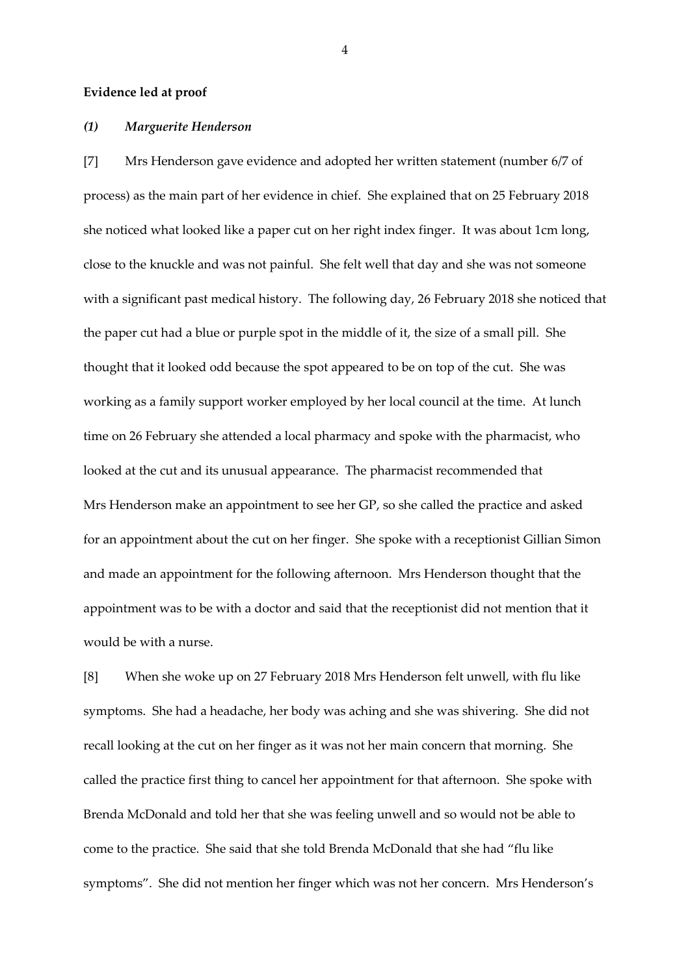#### **Evidence led at proof**

#### *(1) Marguerite Henderson*

[7] Mrs Henderson gave evidence and adopted her written statement (number 6/7 of process) as the main part of her evidence in chief. She explained that on 25 February 2018 she noticed what looked like a paper cut on her right index finger. It was about 1cm long, close to the knuckle and was not painful. She felt well that day and she was not someone with a significant past medical history. The following day, 26 February 2018 she noticed that the paper cut had a blue or purple spot in the middle of it, the size of a small pill. She thought that it looked odd because the spot appeared to be on top of the cut. She was working as a family support worker employed by her local council at the time. At lunch time on 26 February she attended a local pharmacy and spoke with the pharmacist, who looked at the cut and its unusual appearance. The pharmacist recommended that Mrs Henderson make an appointment to see her GP, so she called the practice and asked for an appointment about the cut on her finger. She spoke with a receptionist Gillian Simon and made an appointment for the following afternoon. Mrs Henderson thought that the appointment was to be with a doctor and said that the receptionist did not mention that it would be with a nurse.

[8] When she woke up on 27 February 2018 Mrs Henderson felt unwell, with flu like symptoms. She had a headache, her body was aching and she was shivering. She did not recall looking at the cut on her finger as it was not her main concern that morning. She called the practice first thing to cancel her appointment for that afternoon. She spoke with Brenda McDonald and told her that she was feeling unwell and so would not be able to come to the practice. She said that she told Brenda McDonald that she had "flu like symptoms". She did not mention her finger which was not her concern. Mrs Henderson's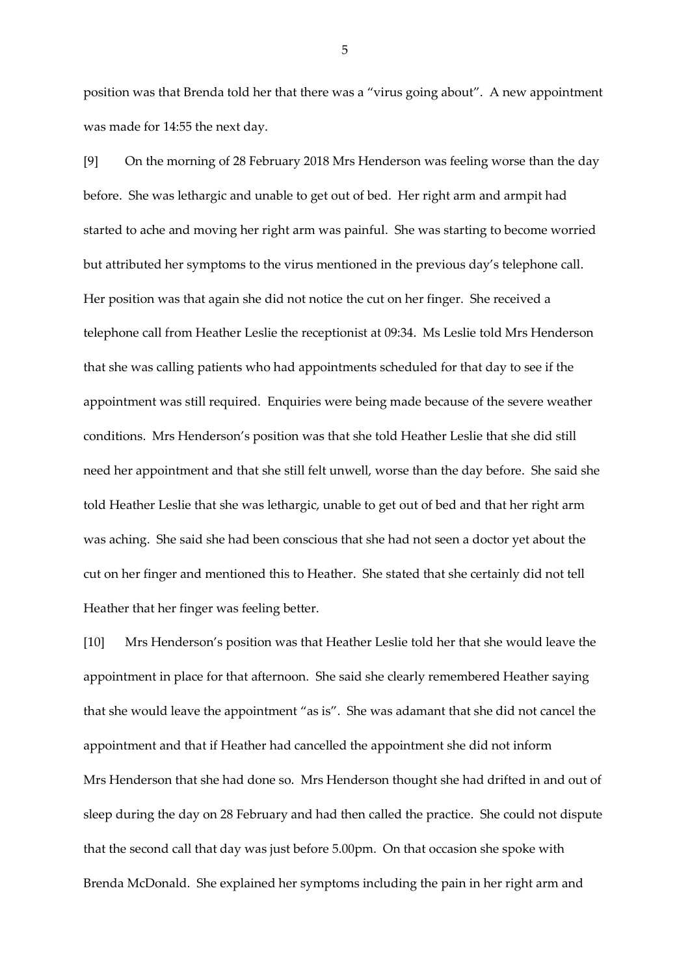position was that Brenda told her that there was a "virus going about". A new appointment was made for 14:55 the next day.

[9] On the morning of 28 February 2018 Mrs Henderson was feeling worse than the day before. She was lethargic and unable to get out of bed. Her right arm and armpit had started to ache and moving her right arm was painful. She was starting to become worried but attributed her symptoms to the virus mentioned in the previous day's telephone call. Her position was that again she did not notice the cut on her finger. She received a telephone call from Heather Leslie the receptionist at 09:34. Ms Leslie told Mrs Henderson that she was calling patients who had appointments scheduled for that day to see if the appointment was still required. Enquiries were being made because of the severe weather conditions. Mrs Henderson's position was that she told Heather Leslie that she did still need her appointment and that she still felt unwell, worse than the day before. She said she told Heather Leslie that she was lethargic, unable to get out of bed and that her right arm was aching. She said she had been conscious that she had not seen a doctor yet about the cut on her finger and mentioned this to Heather. She stated that she certainly did not tell Heather that her finger was feeling better.

[10] Mrs Henderson's position was that Heather Leslie told her that she would leave the appointment in place for that afternoon. She said she clearly remembered Heather saying that she would leave the appointment "as is". She was adamant that she did not cancel the appointment and that if Heather had cancelled the appointment she did not inform Mrs Henderson that she had done so. Mrs Henderson thought she had drifted in and out of sleep during the day on 28 February and had then called the practice. She could not dispute that the second call that day was just before 5.00pm. On that occasion she spoke with Brenda McDonald. She explained her symptoms including the pain in her right arm and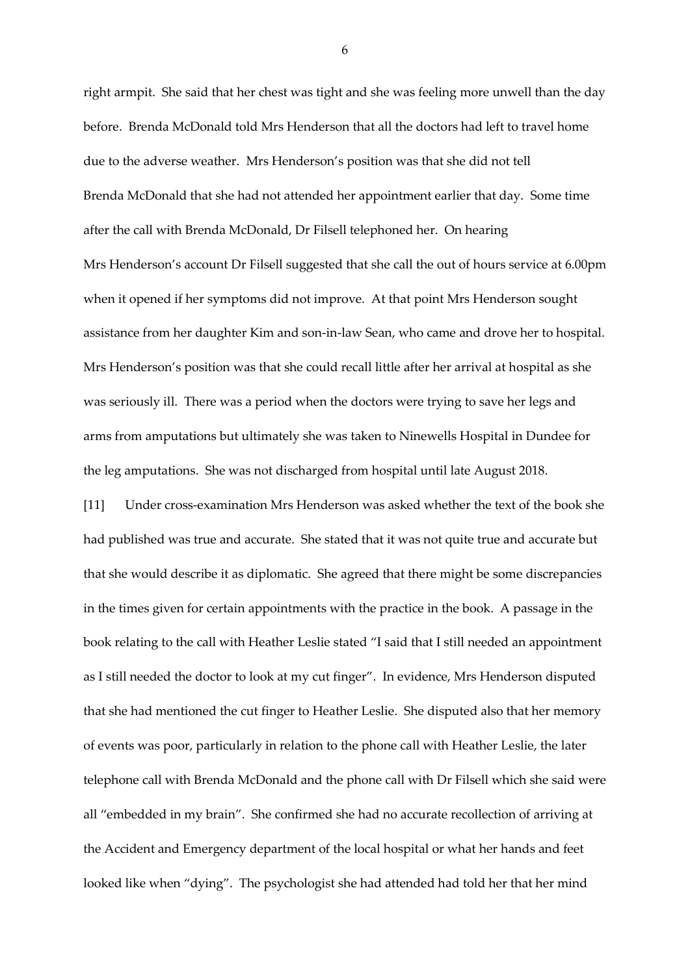right armpit. She said that her chest was tight and she was feeling more unwell than the day before. Brenda McDonald told Mrs Henderson that all the doctors had left to travel home due to the adverse weather. Mrs Henderson's position was that she did not tell Brenda McDonald that she had not attended her appointment earlier that day. Some time after the call with Brenda McDonald, Dr Filsell telephoned her. On hearing Mrs Henderson's account Dr Filsell suggested that she call the out of hours service at 6.00pm when it opened if her symptoms did not improve. At that point Mrs Henderson sought assistance from her daughter Kim and son-in-law Sean, who came and drove her to hospital. Mrs Henderson's position was that she could recall little after her arrival at hospital as she was seriously ill. There was a period when the doctors were trying to save her legs and arms from amputations but ultimately she was taken to Ninewells Hospital in Dundee for the leg amputations. She was not discharged from hospital until late August 2018.

[11] Under cross-examination Mrs Henderson was asked whether the text of the book she had published was true and accurate. She stated that it was not quite true and accurate but that she would describe it as diplomatic. She agreed that there might be some discrepancies in the times given for certain appointments with the practice in the book. A passage in the book relating to the call with Heather Leslie stated "I said that I still needed an appointment as I still needed the doctor to look at my cut finger". In evidence, Mrs Henderson disputed that she had mentioned the cut finger to Heather Leslie. She disputed also that her memory of events was poor, particularly in relation to the phone call with Heather Leslie, the later telephone call with Brenda McDonald and the phone call with Dr Filsell which she said were all "embedded in my brain". She confirmed she had no accurate recollection of arriving at the Accident and Emergency department of the local hospital or what her hands and feet looked like when "dying". The psychologist she had attended had told her that her mind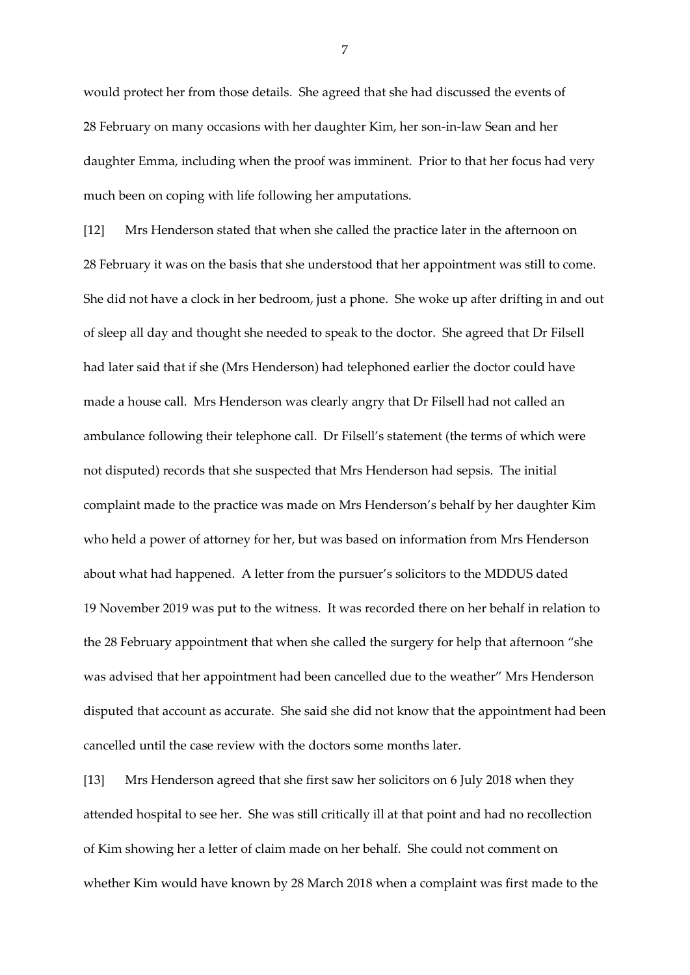would protect her from those details. She agreed that she had discussed the events of 28 February on many occasions with her daughter Kim, her son-in-law Sean and her daughter Emma, including when the proof was imminent. Prior to that her focus had very much been on coping with life following her amputations.

[12] Mrs Henderson stated that when she called the practice later in the afternoon on 28 February it was on the basis that she understood that her appointment was still to come. She did not have a clock in her bedroom, just a phone. She woke up after drifting in and out of sleep all day and thought she needed to speak to the doctor. She agreed that Dr Filsell had later said that if she (Mrs Henderson) had telephoned earlier the doctor could have made a house call. Mrs Henderson was clearly angry that Dr Filsell had not called an ambulance following their telephone call. Dr Filsell's statement (the terms of which were not disputed) records that she suspected that Mrs Henderson had sepsis. The initial complaint made to the practice was made on Mrs Henderson's behalf by her daughter Kim who held a power of attorney for her, but was based on information from Mrs Henderson about what had happened. A letter from the pursuer's solicitors to the MDDUS dated 19 November 2019 was put to the witness. It was recorded there on her behalf in relation to the 28 February appointment that when she called the surgery for help that afternoon "she was advised that her appointment had been cancelled due to the weather" Mrs Henderson disputed that account as accurate. She said she did not know that the appointment had been cancelled until the case review with the doctors some months later.

[13] Mrs Henderson agreed that she first saw her solicitors on 6 July 2018 when they attended hospital to see her. She was still critically ill at that point and had no recollection of Kim showing her a letter of claim made on her behalf. She could not comment on whether Kim would have known by 28 March 2018 when a complaint was first made to the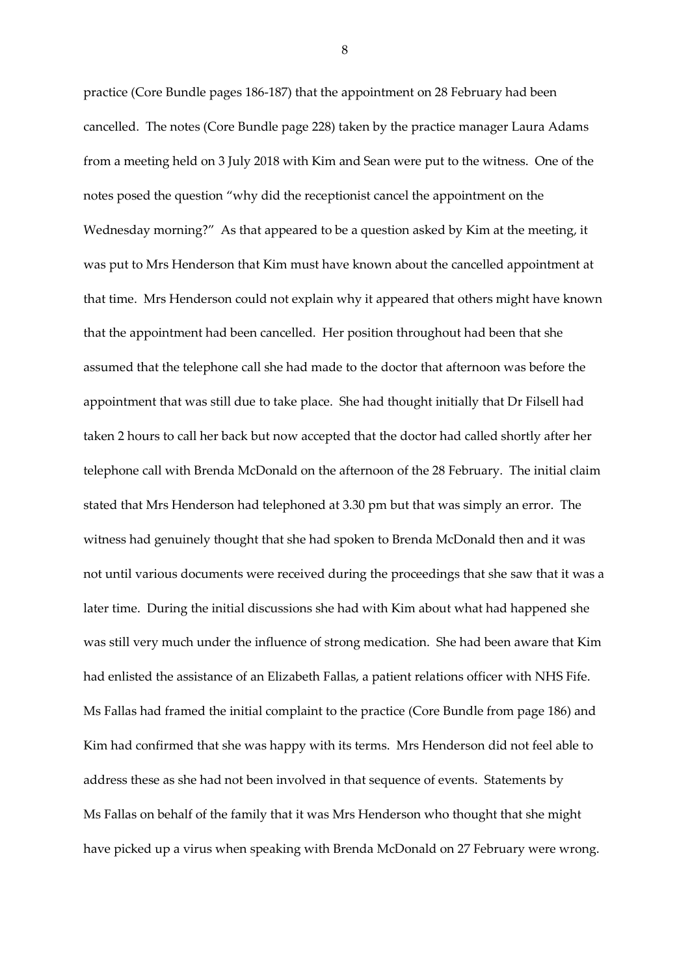practice (Core Bundle pages 186-187) that the appointment on 28 February had been cancelled. The notes (Core Bundle page 228) taken by the practice manager Laura Adams from a meeting held on 3 July 2018 with Kim and Sean were put to the witness. One of the notes posed the question "why did the receptionist cancel the appointment on the Wednesday morning?" As that appeared to be a question asked by Kim at the meeting, it was put to Mrs Henderson that Kim must have known about the cancelled appointment at that time. Mrs Henderson could not explain why it appeared that others might have known that the appointment had been cancelled. Her position throughout had been that she assumed that the telephone call she had made to the doctor that afternoon was before the appointment that was still due to take place. She had thought initially that Dr Filsell had taken 2 hours to call her back but now accepted that the doctor had called shortly after her telephone call with Brenda McDonald on the afternoon of the 28 February. The initial claim stated that Mrs Henderson had telephoned at 3.30 pm but that was simply an error. The witness had genuinely thought that she had spoken to Brenda McDonald then and it was not until various documents were received during the proceedings that she saw that it was a later time. During the initial discussions she had with Kim about what had happened she was still very much under the influence of strong medication. She had been aware that Kim had enlisted the assistance of an Elizabeth Fallas, a patient relations officer with NHS Fife. Ms Fallas had framed the initial complaint to the practice (Core Bundle from page 186) and Kim had confirmed that she was happy with its terms. Mrs Henderson did not feel able to address these as she had not been involved in that sequence of events. Statements by Ms Fallas on behalf of the family that it was Mrs Henderson who thought that she might have picked up a virus when speaking with Brenda McDonald on 27 February were wrong.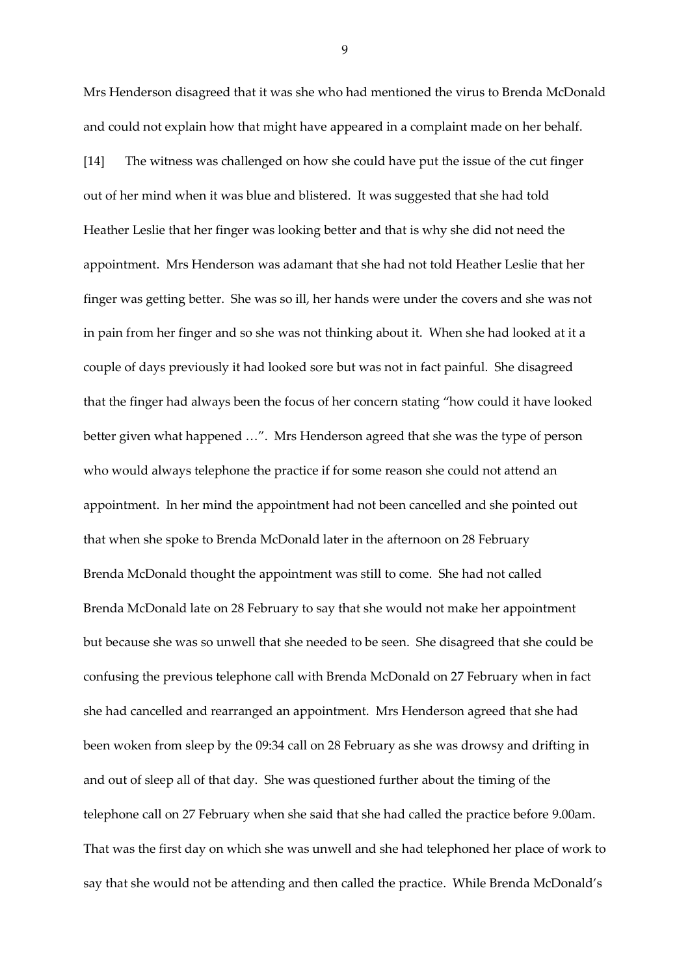Mrs Henderson disagreed that it was she who had mentioned the virus to Brenda McDonald and could not explain how that might have appeared in a complaint made on her behalf. [14] The witness was challenged on how she could have put the issue of the cut finger out of her mind when it was blue and blistered. It was suggested that she had told Heather Leslie that her finger was looking better and that is why she did not need the appointment. Mrs Henderson was adamant that she had not told Heather Leslie that her finger was getting better. She was so ill, her hands were under the covers and she was not in pain from her finger and so she was not thinking about it. When she had looked at it a couple of days previously it had looked sore but was not in fact painful. She disagreed that the finger had always been the focus of her concern stating "how could it have looked better given what happened …". Mrs Henderson agreed that she was the type of person who would always telephone the practice if for some reason she could not attend an appointment. In her mind the appointment had not been cancelled and she pointed out that when she spoke to Brenda McDonald later in the afternoon on 28 February Brenda McDonald thought the appointment was still to come. She had not called Brenda McDonald late on 28 February to say that she would not make her appointment but because she was so unwell that she needed to be seen. She disagreed that she could be confusing the previous telephone call with Brenda McDonald on 27 February when in fact she had cancelled and rearranged an appointment. Mrs Henderson agreed that she had been woken from sleep by the 09:34 call on 28 February as she was drowsy and drifting in and out of sleep all of that day. She was questioned further about the timing of the telephone call on 27 February when she said that she had called the practice before 9.00am. That was the first day on which she was unwell and she had telephoned her place of work to say that she would not be attending and then called the practice. While Brenda McDonald's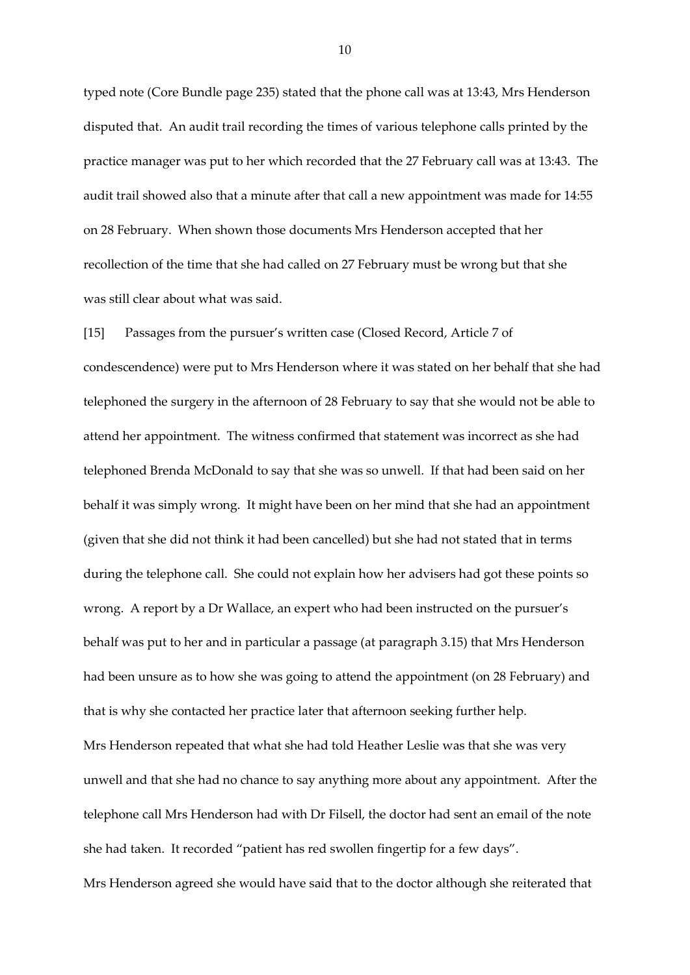typed note (Core Bundle page 235) stated that the phone call was at 13:43, Mrs Henderson disputed that. An audit trail recording the times of various telephone calls printed by the practice manager was put to her which recorded that the 27 February call was at 13:43. The audit trail showed also that a minute after that call a new appointment was made for 14:55 on 28 February. When shown those documents Mrs Henderson accepted that her recollection of the time that she had called on 27 February must be wrong but that she was still clear about what was said.

[15] Passages from the pursuer's written case (Closed Record, Article 7 of condescendence) were put to Mrs Henderson where it was stated on her behalf that she had telephoned the surgery in the afternoon of 28 February to say that she would not be able to attend her appointment. The witness confirmed that statement was incorrect as she had telephoned Brenda McDonald to say that she was so unwell. If that had been said on her behalf it was simply wrong. It might have been on her mind that she had an appointment (given that she did not think it had been cancelled) but she had not stated that in terms during the telephone call. She could not explain how her advisers had got these points so wrong. A report by a Dr Wallace, an expert who had been instructed on the pursuer's behalf was put to her and in particular a passage (at paragraph 3.15) that Mrs Henderson had been unsure as to how she was going to attend the appointment (on 28 February) and that is why she contacted her practice later that afternoon seeking further help. Mrs Henderson repeated that what she had told Heather Leslie was that she was very unwell and that she had no chance to say anything more about any appointment. After the telephone call Mrs Henderson had with Dr Filsell, the doctor had sent an email of the note she had taken. It recorded "patient has red swollen fingertip for a few days". Mrs Henderson agreed she would have said that to the doctor although she reiterated that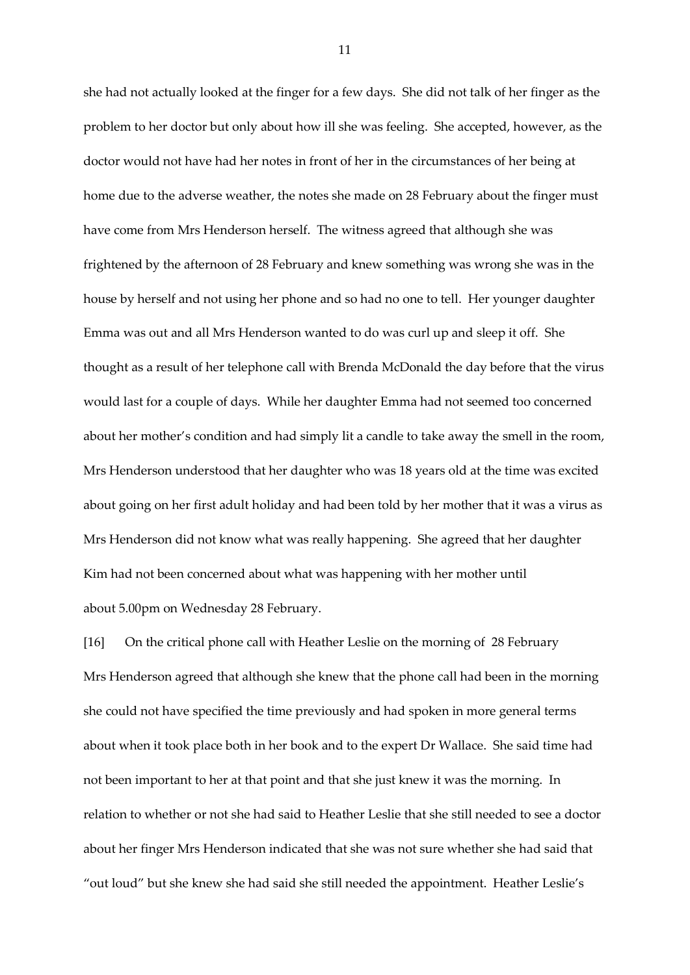she had not actually looked at the finger for a few days. She did not talk of her finger as the problem to her doctor but only about how ill she was feeling. She accepted, however, as the doctor would not have had her notes in front of her in the circumstances of her being at home due to the adverse weather, the notes she made on 28 February about the finger must have come from Mrs Henderson herself. The witness agreed that although she was frightened by the afternoon of 28 February and knew something was wrong she was in the house by herself and not using her phone and so had no one to tell. Her younger daughter Emma was out and all Mrs Henderson wanted to do was curl up and sleep it off. She thought as a result of her telephone call with Brenda McDonald the day before that the virus would last for a couple of days. While her daughter Emma had not seemed too concerned about her mother's condition and had simply lit a candle to take away the smell in the room, Mrs Henderson understood that her daughter who was 18 years old at the time was excited about going on her first adult holiday and had been told by her mother that it was a virus as Mrs Henderson did not know what was really happening. She agreed that her daughter Kim had not been concerned about what was happening with her mother until about 5.00pm on Wednesday 28 February.

[16] On the critical phone call with Heather Leslie on the morning of 28 February Mrs Henderson agreed that although she knew that the phone call had been in the morning she could not have specified the time previously and had spoken in more general terms about when it took place both in her book and to the expert Dr Wallace. She said time had not been important to her at that point and that she just knew it was the morning. In relation to whether or not she had said to Heather Leslie that she still needed to see a doctor about her finger Mrs Henderson indicated that she was not sure whether she had said that "out loud" but she knew she had said she still needed the appointment. Heather Leslie's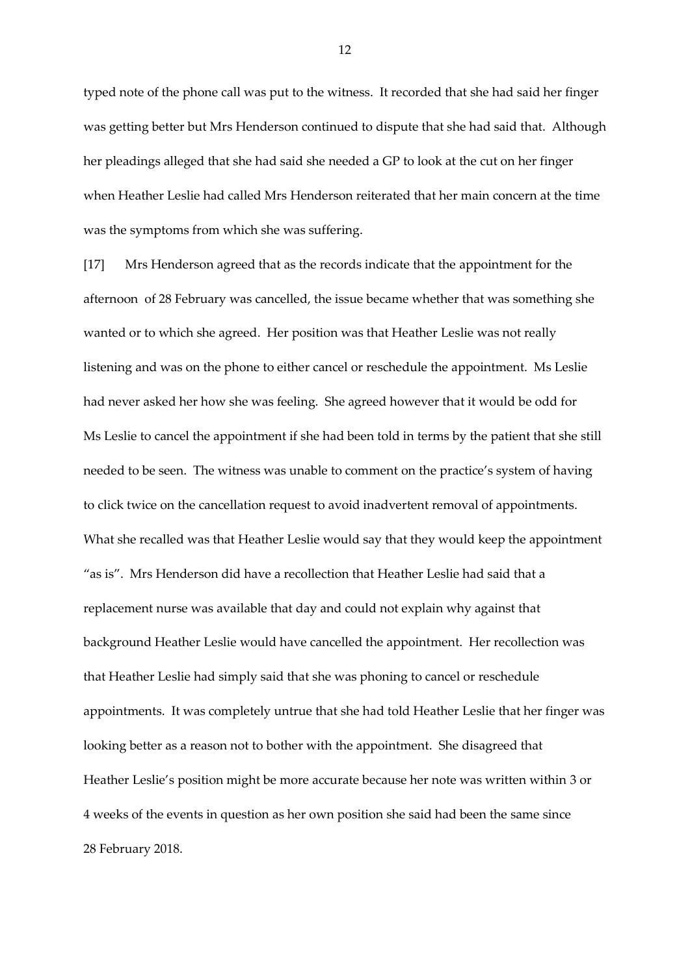typed note of the phone call was put to the witness. It recorded that she had said her finger was getting better but Mrs Henderson continued to dispute that she had said that. Although her pleadings alleged that she had said she needed a GP to look at the cut on her finger when Heather Leslie had called Mrs Henderson reiterated that her main concern at the time was the symptoms from which she was suffering.

[17] Mrs Henderson agreed that as the records indicate that the appointment for the afternoon of 28 February was cancelled, the issue became whether that was something she wanted or to which she agreed. Her position was that Heather Leslie was not really listening and was on the phone to either cancel or reschedule the appointment. Ms Leslie had never asked her how she was feeling. She agreed however that it would be odd for Ms Leslie to cancel the appointment if she had been told in terms by the patient that she still needed to be seen. The witness was unable to comment on the practice's system of having to click twice on the cancellation request to avoid inadvertent removal of appointments. What she recalled was that Heather Leslie would say that they would keep the appointment "as is". Mrs Henderson did have a recollection that Heather Leslie had said that a replacement nurse was available that day and could not explain why against that background Heather Leslie would have cancelled the appointment. Her recollection was that Heather Leslie had simply said that she was phoning to cancel or reschedule appointments. It was completely untrue that she had told Heather Leslie that her finger was looking better as a reason not to bother with the appointment. She disagreed that Heather Leslie's position might be more accurate because her note was written within 3 or 4 weeks of the events in question as her own position she said had been the same since 28 February 2018.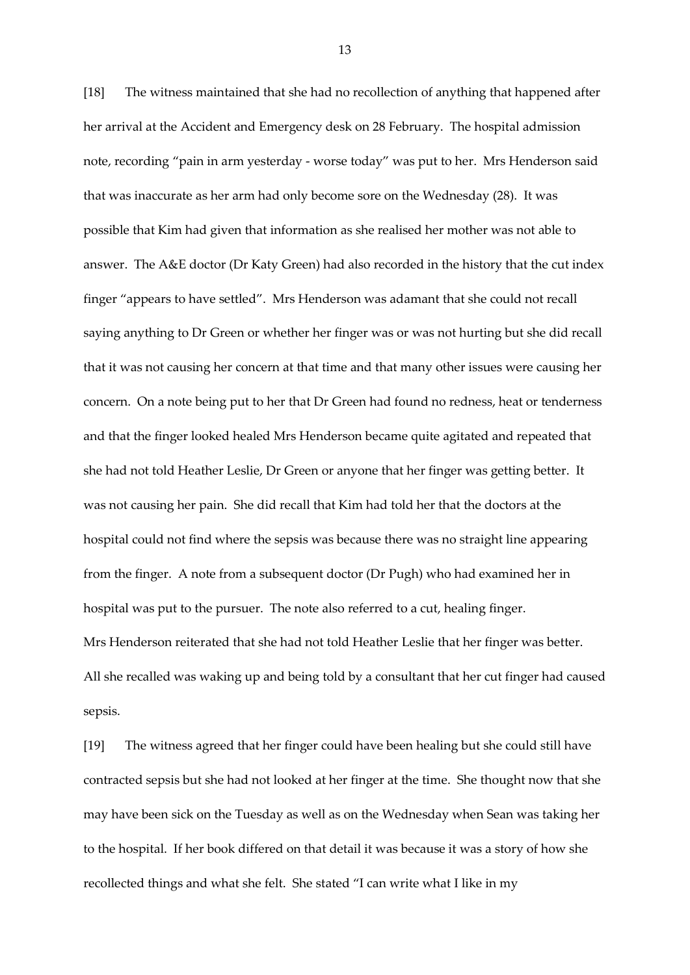[18] The witness maintained that she had no recollection of anything that happened after her arrival at the Accident and Emergency desk on 28 February. The hospital admission note, recording "pain in arm yesterday - worse today" was put to her. Mrs Henderson said that was inaccurate as her arm had only become sore on the Wednesday (28). It was possible that Kim had given that information as she realised her mother was not able to answer. The A&E doctor (Dr Katy Green) had also recorded in the history that the cut index finger "appears to have settled". Mrs Henderson was adamant that she could not recall saying anything to Dr Green or whether her finger was or was not hurting but she did recall that it was not causing her concern at that time and that many other issues were causing her concern. On a note being put to her that Dr Green had found no redness, heat or tenderness and that the finger looked healed Mrs Henderson became quite agitated and repeated that she had not told Heather Leslie, Dr Green or anyone that her finger was getting better. It was not causing her pain. She did recall that Kim had told her that the doctors at the hospital could not find where the sepsis was because there was no straight line appearing from the finger. A note from a subsequent doctor (Dr Pugh) who had examined her in hospital was put to the pursuer. The note also referred to a cut, healing finger. Mrs Henderson reiterated that she had not told Heather Leslie that her finger was better. All she recalled was waking up and being told by a consultant that her cut finger had caused sepsis.

[19] The witness agreed that her finger could have been healing but she could still have contracted sepsis but she had not looked at her finger at the time. She thought now that she may have been sick on the Tuesday as well as on the Wednesday when Sean was taking her to the hospital. If her book differed on that detail it was because it was a story of how she recollected things and what she felt. She stated "I can write what I like in my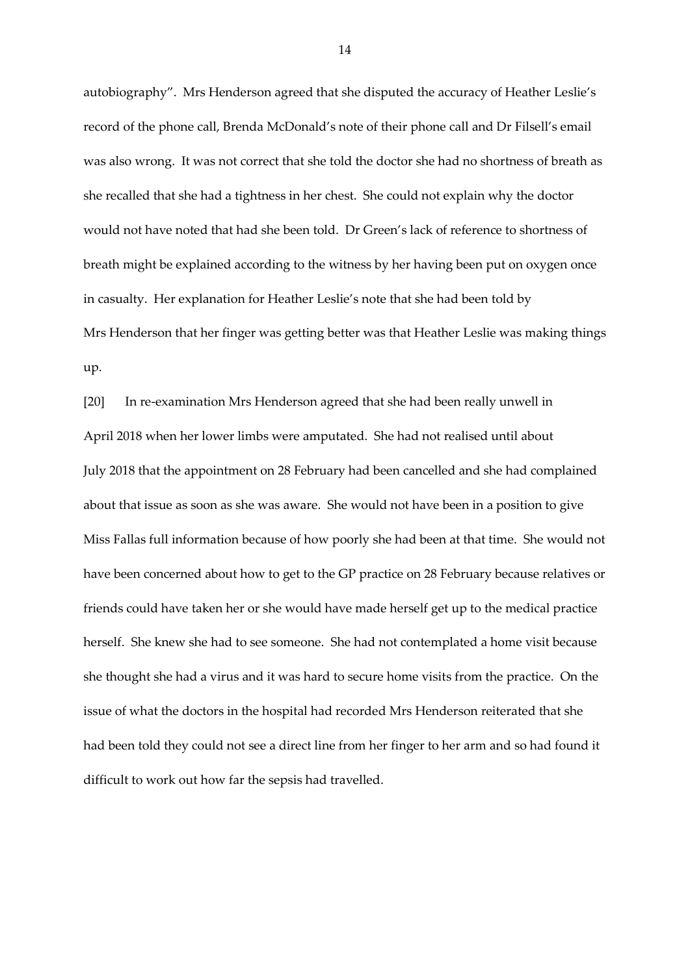autobiography". Mrs Henderson agreed that she disputed the accuracy of Heather Leslie's record of the phone call, Brenda McDonald's note of their phone call and Dr Filsell's email was also wrong. It was not correct that she told the doctor she had no shortness of breath as she recalled that she had a tightness in her chest. She could not explain why the doctor would not have noted that had she been told. Dr Green's lack of reference to shortness of breath might be explained according to the witness by her having been put on oxygen once in casualty. Her explanation for Heather Leslie's note that she had been told by Mrs Henderson that her finger was getting better was that Heather Leslie was making things up.

[20] In re-examination Mrs Henderson agreed that she had been really unwell in April 2018 when her lower limbs were amputated. She had not realised until about July 2018 that the appointment on 28 February had been cancelled and she had complained about that issue as soon as she was aware. She would not have been in a position to give Miss Fallas full information because of how poorly she had been at that time. She would not have been concerned about how to get to the GP practice on 28 February because relatives or friends could have taken her or she would have made herself get up to the medical practice herself. She knew she had to see someone. She had not contemplated a home visit because she thought she had a virus and it was hard to secure home visits from the practice. On the issue of what the doctors in the hospital had recorded Mrs Henderson reiterated that she had been told they could not see a direct line from her finger to her arm and so had found it difficult to work out how far the sepsis had travelled.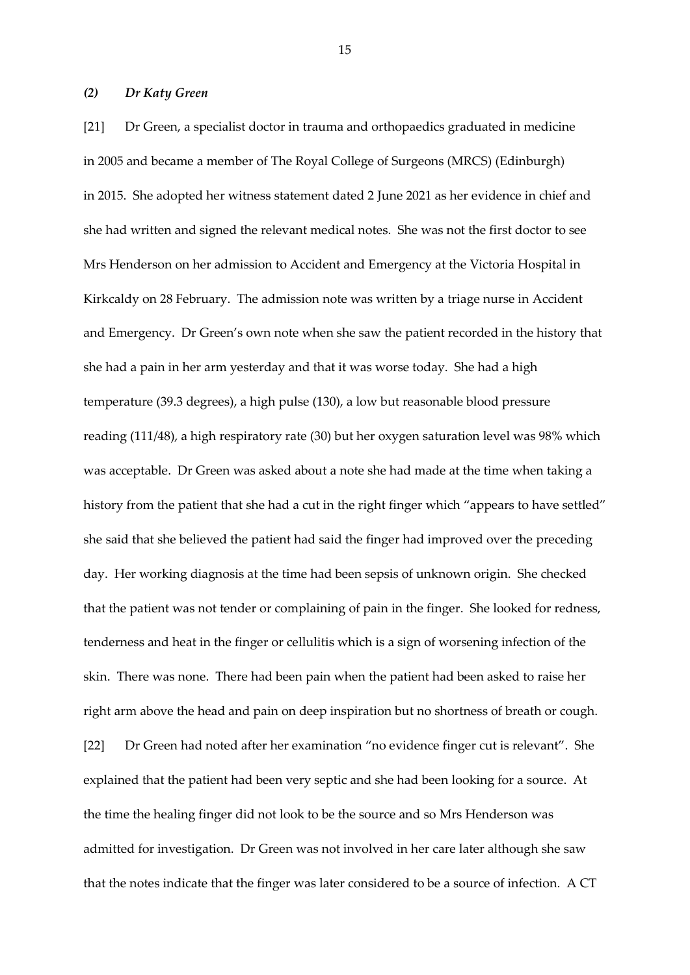### *(2) Dr Katy Green*

[21] Dr Green, a specialist doctor in trauma and orthopaedics graduated in medicine in 2005 and became a member of The Royal College of Surgeons (MRCS) (Edinburgh) in 2015. She adopted her witness statement dated 2 June 2021 as her evidence in chief and she had written and signed the relevant medical notes. She was not the first doctor to see Mrs Henderson on her admission to Accident and Emergency at the Victoria Hospital in Kirkcaldy on 28 February. The admission note was written by a triage nurse in Accident and Emergency. Dr Green's own note when she saw the patient recorded in the history that she had a pain in her arm yesterday and that it was worse today. She had a high temperature (39.3 degrees), a high pulse (130), a low but reasonable blood pressure reading (111/48), a high respiratory rate (30) but her oxygen saturation level was 98% which was acceptable. Dr Green was asked about a note she had made at the time when taking a history from the patient that she had a cut in the right finger which "appears to have settled" she said that she believed the patient had said the finger had improved over the preceding day. Her working diagnosis at the time had been sepsis of unknown origin. She checked that the patient was not tender or complaining of pain in the finger. She looked for redness, tenderness and heat in the finger or cellulitis which is a sign of worsening infection of the skin. There was none. There had been pain when the patient had been asked to raise her right arm above the head and pain on deep inspiration but no shortness of breath or cough. [22] Dr Green had noted after her examination "no evidence finger cut is relevant". She explained that the patient had been very septic and she had been looking for a source. At the time the healing finger did not look to be the source and so Mrs Henderson was admitted for investigation. Dr Green was not involved in her care later although she saw that the notes indicate that the finger was later considered to be a source of infection. A CT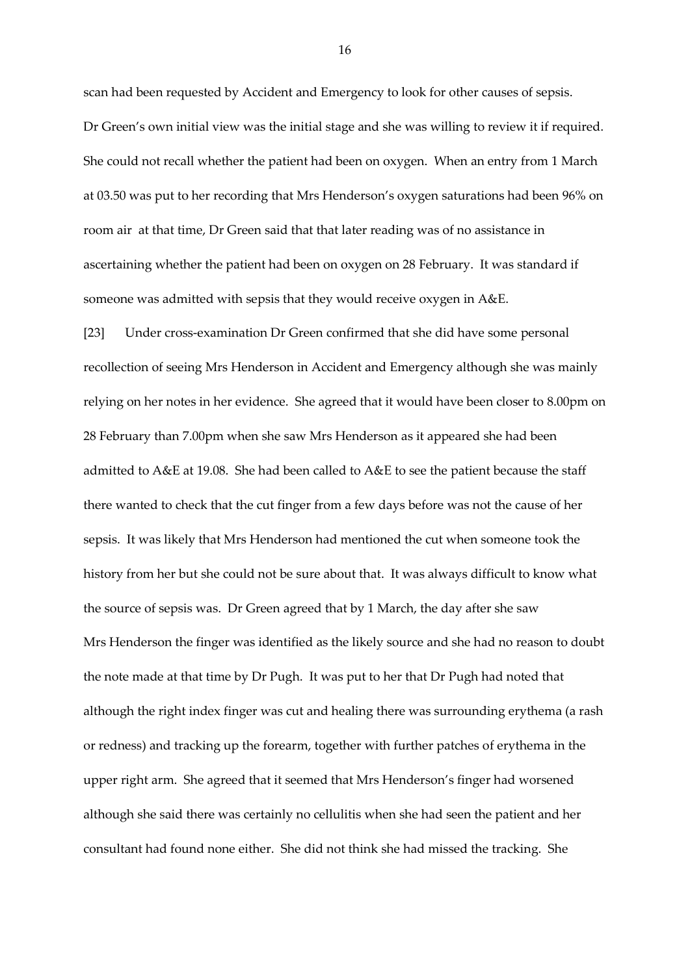scan had been requested by Accident and Emergency to look for other causes of sepsis. Dr Green's own initial view was the initial stage and she was willing to review it if required. She could not recall whether the patient had been on oxygen. When an entry from 1 March at 03.50 was put to her recording that Mrs Henderson's oxygen saturations had been 96% on room air at that time, Dr Green said that that later reading was of no assistance in ascertaining whether the patient had been on oxygen on 28 February. It was standard if someone was admitted with sepsis that they would receive oxygen in A&E.

[23] Under cross-examination Dr Green confirmed that she did have some personal recollection of seeing Mrs Henderson in Accident and Emergency although she was mainly relying on her notes in her evidence. She agreed that it would have been closer to 8.00pm on 28 February than 7.00pm when she saw Mrs Henderson as it appeared she had been admitted to A&E at 19.08. She had been called to A&E to see the patient because the staff there wanted to check that the cut finger from a few days before was not the cause of her sepsis. It was likely that Mrs Henderson had mentioned the cut when someone took the history from her but she could not be sure about that. It was always difficult to know what the source of sepsis was. Dr Green agreed that by 1 March, the day after she saw Mrs Henderson the finger was identified as the likely source and she had no reason to doubt the note made at that time by Dr Pugh. It was put to her that Dr Pugh had noted that although the right index finger was cut and healing there was surrounding erythema (a rash or redness) and tracking up the forearm, together with further patches of erythema in the upper right arm. She agreed that it seemed that Mrs Henderson's finger had worsened although she said there was certainly no cellulitis when she had seen the patient and her consultant had found none either. She did not think she had missed the tracking. She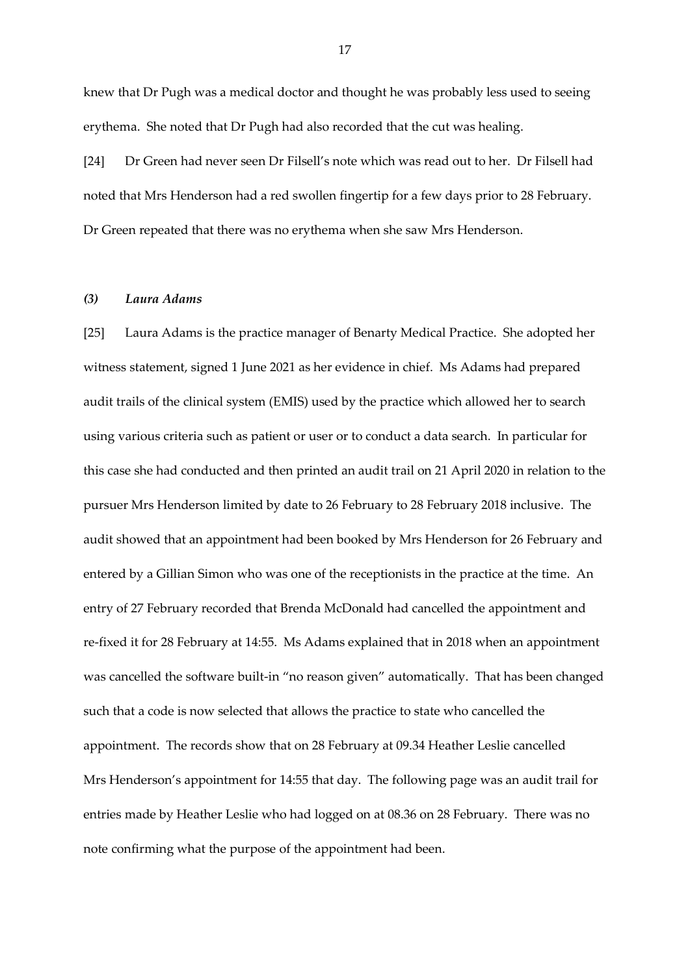knew that Dr Pugh was a medical doctor and thought he was probably less used to seeing erythema. She noted that Dr Pugh had also recorded that the cut was healing.

[24] Dr Green had never seen Dr Filsell's note which was read out to her. Dr Filsell had noted that Mrs Henderson had a red swollen fingertip for a few days prior to 28 February. Dr Green repeated that there was no erythema when she saw Mrs Henderson.

### *(3) Laura Adams*

[25] Laura Adams is the practice manager of Benarty Medical Practice. She adopted her witness statement, signed 1 June 2021 as her evidence in chief. Ms Adams had prepared audit trails of the clinical system (EMIS) used by the practice which allowed her to search using various criteria such as patient or user or to conduct a data search. In particular for this case she had conducted and then printed an audit trail on 21 April 2020 in relation to the pursuer Mrs Henderson limited by date to 26 February to 28 February 2018 inclusive. The audit showed that an appointment had been booked by Mrs Henderson for 26 February and entered by a Gillian Simon who was one of the receptionists in the practice at the time. An entry of 27 February recorded that Brenda McDonald had cancelled the appointment and re-fixed it for 28 February at 14:55. Ms Adams explained that in 2018 when an appointment was cancelled the software built-in "no reason given" automatically. That has been changed such that a code is now selected that allows the practice to state who cancelled the appointment. The records show that on 28 February at 09.34 Heather Leslie cancelled Mrs Henderson's appointment for 14:55 that day. The following page was an audit trail for entries made by Heather Leslie who had logged on at 08.36 on 28 February. There was no note confirming what the purpose of the appointment had been.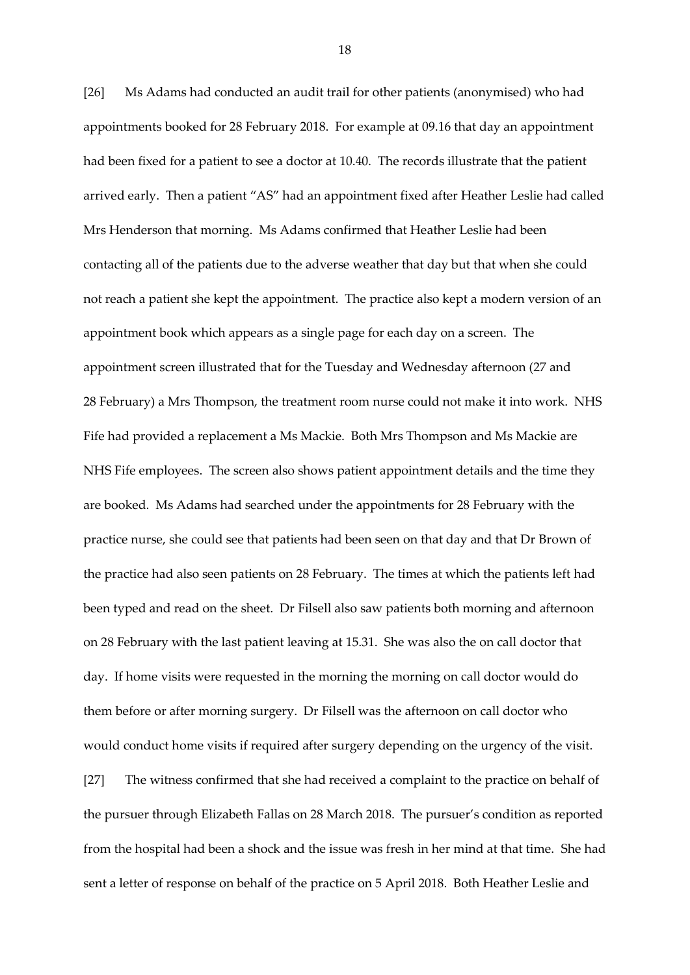[26] Ms Adams had conducted an audit trail for other patients (anonymised) who had appointments booked for 28 February 2018. For example at 09.16 that day an appointment had been fixed for a patient to see a doctor at 10.40. The records illustrate that the patient arrived early. Then a patient "AS" had an appointment fixed after Heather Leslie had called Mrs Henderson that morning. Ms Adams confirmed that Heather Leslie had been contacting all of the patients due to the adverse weather that day but that when she could not reach a patient she kept the appointment. The practice also kept a modern version of an appointment book which appears as a single page for each day on a screen. The appointment screen illustrated that for the Tuesday and Wednesday afternoon (27 and 28 February) a Mrs Thompson, the treatment room nurse could not make it into work. NHS Fife had provided a replacement a Ms Mackie. Both Mrs Thompson and Ms Mackie are NHS Fife employees. The screen also shows patient appointment details and the time they are booked. Ms Adams had searched under the appointments for 28 February with the practice nurse, she could see that patients had been seen on that day and that Dr Brown of the practice had also seen patients on 28 February. The times at which the patients left had been typed and read on the sheet. Dr Filsell also saw patients both morning and afternoon on 28 February with the last patient leaving at 15.31. She was also the on call doctor that day. If home visits were requested in the morning the morning on call doctor would do them before or after morning surgery. Dr Filsell was the afternoon on call doctor who would conduct home visits if required after surgery depending on the urgency of the visit. [27] The witness confirmed that she had received a complaint to the practice on behalf of the pursuer through Elizabeth Fallas on 28 March 2018. The pursuer's condition as reported from the hospital had been a shock and the issue was fresh in her mind at that time. She had sent a letter of response on behalf of the practice on 5 April 2018. Both Heather Leslie and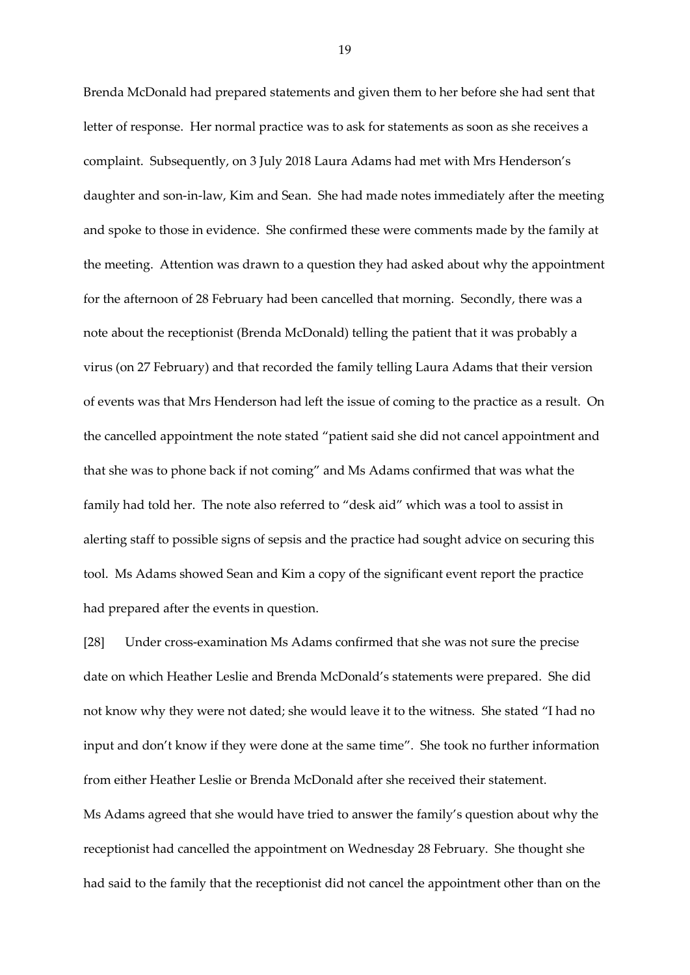Brenda McDonald had prepared statements and given them to her before she had sent that letter of response. Her normal practice was to ask for statements as soon as she receives a complaint. Subsequently, on 3 July 2018 Laura Adams had met with Mrs Henderson's daughter and son-in-law, Kim and Sean. She had made notes immediately after the meeting and spoke to those in evidence. She confirmed these were comments made by the family at the meeting. Attention was drawn to a question they had asked about why the appointment for the afternoon of 28 February had been cancelled that morning. Secondly, there was a note about the receptionist (Brenda McDonald) telling the patient that it was probably a virus (on 27 February) and that recorded the family telling Laura Adams that their version of events was that Mrs Henderson had left the issue of coming to the practice as a result. On the cancelled appointment the note stated "patient said she did not cancel appointment and that she was to phone back if not coming" and Ms Adams confirmed that was what the family had told her. The note also referred to "desk aid" which was a tool to assist in alerting staff to possible signs of sepsis and the practice had sought advice on securing this tool. Ms Adams showed Sean and Kim a copy of the significant event report the practice had prepared after the events in question.

[28] Under cross-examination Ms Adams confirmed that she was not sure the precise date on which Heather Leslie and Brenda McDonald's statements were prepared. She did not know why they were not dated; she would leave it to the witness. She stated "I had no input and don't know if they were done at the same time". She took no further information from either Heather Leslie or Brenda McDonald after she received their statement. Ms Adams agreed that she would have tried to answer the family's question about why the receptionist had cancelled the appointment on Wednesday 28 February. She thought she had said to the family that the receptionist did not cancel the appointment other than on the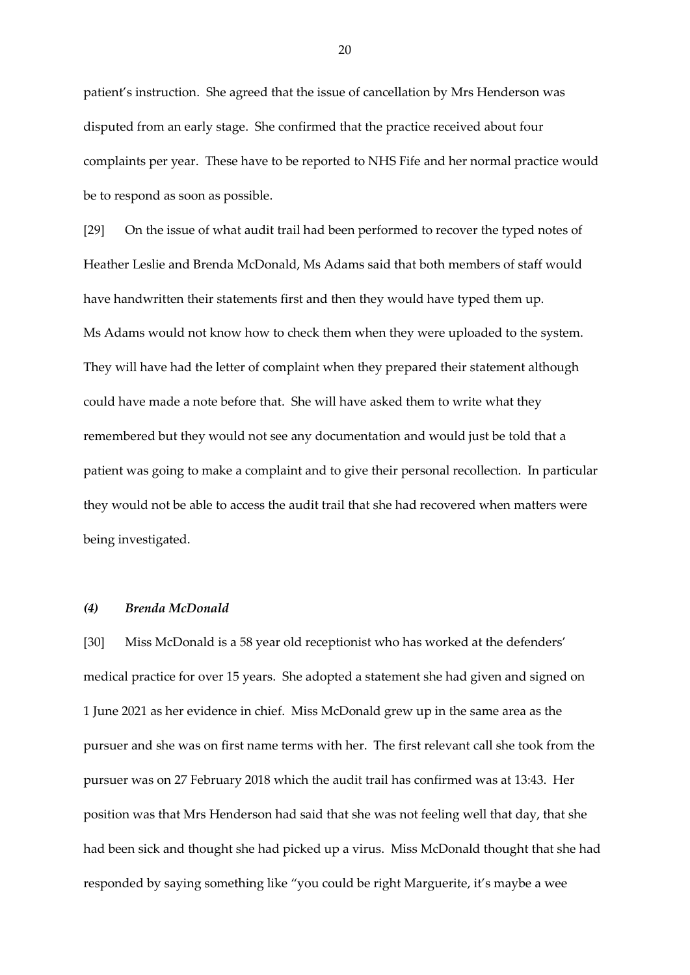patient's instruction. She agreed that the issue of cancellation by Mrs Henderson was disputed from an early stage. She confirmed that the practice received about four complaints per year. These have to be reported to NHS Fife and her normal practice would be to respond as soon as possible.

[29] On the issue of what audit trail had been performed to recover the typed notes of Heather Leslie and Brenda McDonald, Ms Adams said that both members of staff would have handwritten their statements first and then they would have typed them up. Ms Adams would not know how to check them when they were uploaded to the system. They will have had the letter of complaint when they prepared their statement although could have made a note before that. She will have asked them to write what they remembered but they would not see any documentation and would just be told that a patient was going to make a complaint and to give their personal recollection. In particular they would not be able to access the audit trail that she had recovered when matters were being investigated.

#### *(4) Brenda McDonald*

[30] Miss McDonald is a 58 year old receptionist who has worked at the defenders' medical practice for over 15 years. She adopted a statement she had given and signed on 1 June 2021 as her evidence in chief. Miss McDonald grew up in the same area as the pursuer and she was on first name terms with her. The first relevant call she took from the pursuer was on 27 February 2018 which the audit trail has confirmed was at 13:43. Her position was that Mrs Henderson had said that she was not feeling well that day, that she had been sick and thought she had picked up a virus. Miss McDonald thought that she had responded by saying something like "you could be right Marguerite, it's maybe a wee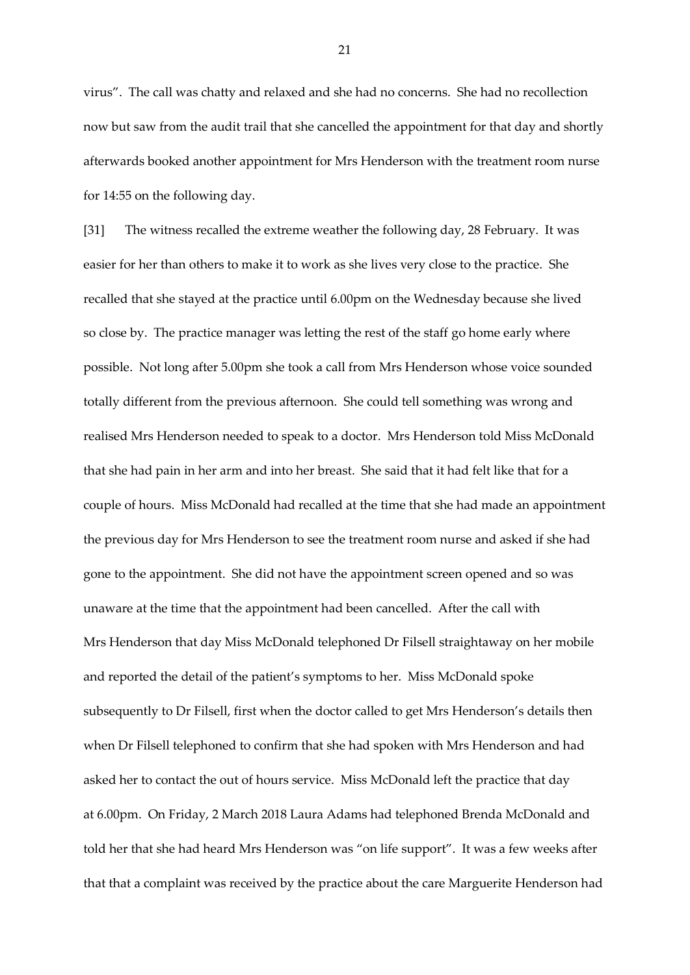virus". The call was chatty and relaxed and she had no concerns. She had no recollection now but saw from the audit trail that she cancelled the appointment for that day and shortly afterwards booked another appointment for Mrs Henderson with the treatment room nurse for 14:55 on the following day.

[31] The witness recalled the extreme weather the following day, 28 February. It was easier for her than others to make it to work as she lives very close to the practice. She recalled that she stayed at the practice until 6.00pm on the Wednesday because she lived so close by. The practice manager was letting the rest of the staff go home early where possible. Not long after 5.00pm she took a call from Mrs Henderson whose voice sounded totally different from the previous afternoon. She could tell something was wrong and realised Mrs Henderson needed to speak to a doctor. Mrs Henderson told Miss McDonald that she had pain in her arm and into her breast. She said that it had felt like that for a couple of hours. Miss McDonald had recalled at the time that she had made an appointment the previous day for Mrs Henderson to see the treatment room nurse and asked if she had gone to the appointment. She did not have the appointment screen opened and so was unaware at the time that the appointment had been cancelled. After the call with Mrs Henderson that day Miss McDonald telephoned Dr Filsell straightaway on her mobile and reported the detail of the patient's symptoms to her. Miss McDonald spoke subsequently to Dr Filsell, first when the doctor called to get Mrs Henderson's details then when Dr Filsell telephoned to confirm that she had spoken with Mrs Henderson and had asked her to contact the out of hours service. Miss McDonald left the practice that day at 6.00pm. On Friday, 2 March 2018 Laura Adams had telephoned Brenda McDonald and told her that she had heard Mrs Henderson was "on life support". It was a few weeks after that that a complaint was received by the practice about the care Marguerite Henderson had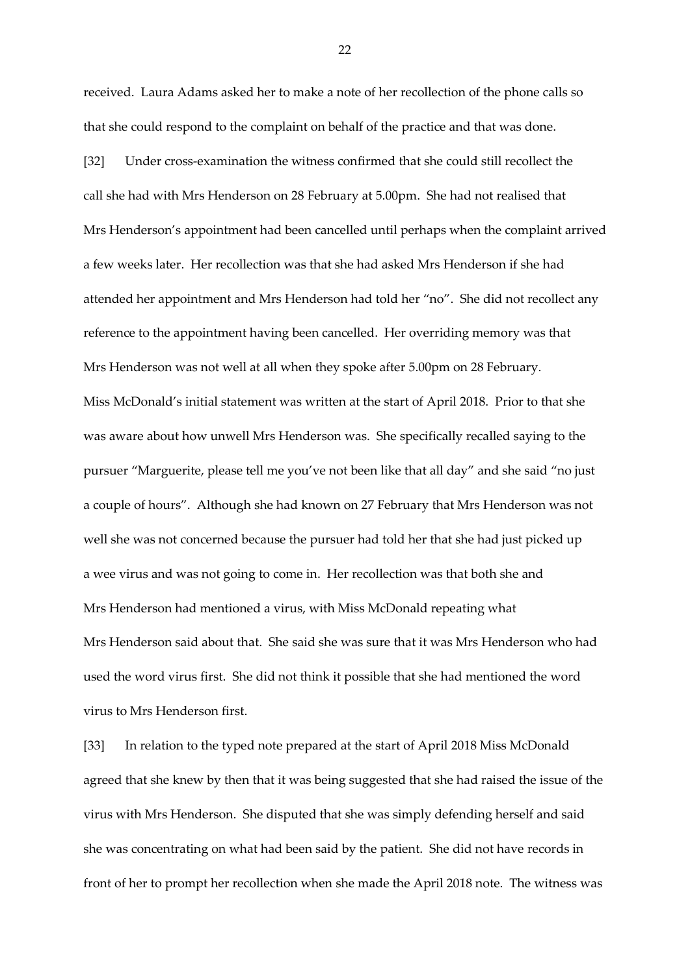received. Laura Adams asked her to make a note of her recollection of the phone calls so that she could respond to the complaint on behalf of the practice and that was done.

[32] Under cross-examination the witness confirmed that she could still recollect the call she had with Mrs Henderson on 28 February at 5.00pm. She had not realised that Mrs Henderson's appointment had been cancelled until perhaps when the complaint arrived a few weeks later. Her recollection was that she had asked Mrs Henderson if she had attended her appointment and Mrs Henderson had told her "no". She did not recollect any reference to the appointment having been cancelled. Her overriding memory was that Mrs Henderson was not well at all when they spoke after 5.00pm on 28 February. Miss McDonald's initial statement was written at the start of April 2018. Prior to that she was aware about how unwell Mrs Henderson was. She specifically recalled saying to the pursuer "Marguerite, please tell me you've not been like that all day" and she said "no just a couple of hours". Although she had known on 27 February that Mrs Henderson was not well she was not concerned because the pursuer had told her that she had just picked up a wee virus and was not going to come in. Her recollection was that both she and Mrs Henderson had mentioned a virus, with Miss McDonald repeating what Mrs Henderson said about that. She said she was sure that it was Mrs Henderson who had used the word virus first. She did not think it possible that she had mentioned the word virus to Mrs Henderson first.

[33] In relation to the typed note prepared at the start of April 2018 Miss McDonald agreed that she knew by then that it was being suggested that she had raised the issue of the virus with Mrs Henderson. She disputed that she was simply defending herself and said she was concentrating on what had been said by the patient. She did not have records in front of her to prompt her recollection when she made the April 2018 note. The witness was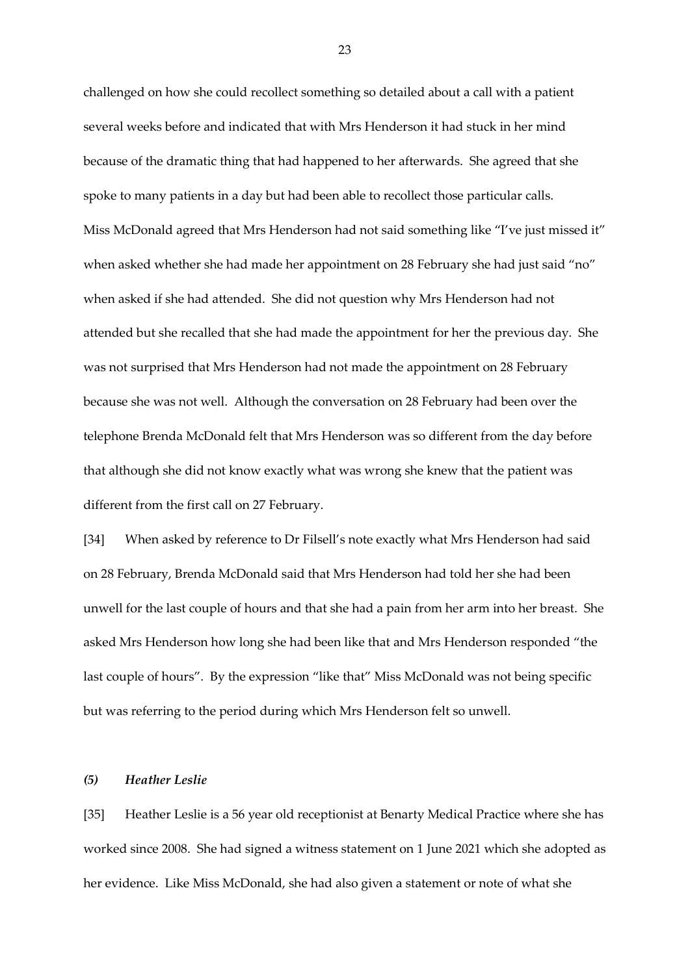challenged on how she could recollect something so detailed about a call with a patient several weeks before and indicated that with Mrs Henderson it had stuck in her mind because of the dramatic thing that had happened to her afterwards. She agreed that she spoke to many patients in a day but had been able to recollect those particular calls. Miss McDonald agreed that Mrs Henderson had not said something like "I've just missed it" when asked whether she had made her appointment on 28 February she had just said "no" when asked if she had attended. She did not question why Mrs Henderson had not attended but she recalled that she had made the appointment for her the previous day. She was not surprised that Mrs Henderson had not made the appointment on 28 February because she was not well. Although the conversation on 28 February had been over the telephone Brenda McDonald felt that Mrs Henderson was so different from the day before that although she did not know exactly what was wrong she knew that the patient was different from the first call on 27 February.

[34] When asked by reference to Dr Filsell's note exactly what Mrs Henderson had said on 28 February, Brenda McDonald said that Mrs Henderson had told her she had been unwell for the last couple of hours and that she had a pain from her arm into her breast. She asked Mrs Henderson how long she had been like that and Mrs Henderson responded "the last couple of hours". By the expression "like that" Miss McDonald was not being specific but was referring to the period during which Mrs Henderson felt so unwell.

### *(5) Heather Leslie*

[35] Heather Leslie is a 56 year old receptionist at Benarty Medical Practice where she has worked since 2008. She had signed a witness statement on 1 June 2021 which she adopted as her evidence. Like Miss McDonald, she had also given a statement or note of what she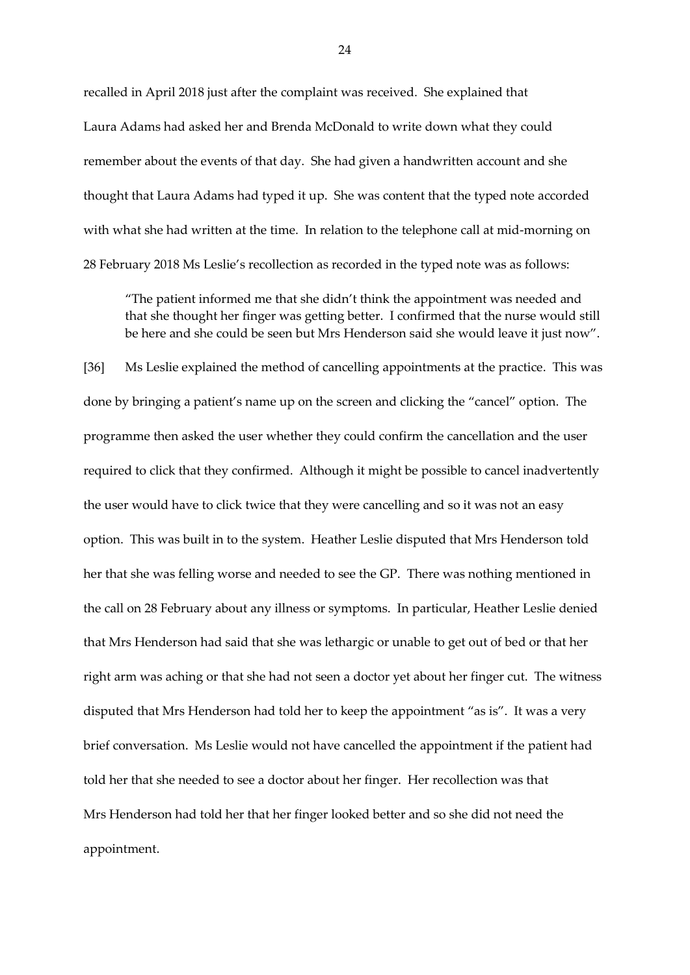recalled in April 2018 just after the complaint was received. She explained that Laura Adams had asked her and Brenda McDonald to write down what they could remember about the events of that day. She had given a handwritten account and she thought that Laura Adams had typed it up. She was content that the typed note accorded with what she had written at the time. In relation to the telephone call at mid-morning on 28 February 2018 Ms Leslie's recollection as recorded in the typed note was as follows:

"The patient informed me that she didn't think the appointment was needed and that she thought her finger was getting better. I confirmed that the nurse would still be here and she could be seen but Mrs Henderson said she would leave it just now".

[36] Ms Leslie explained the method of cancelling appointments at the practice. This was done by bringing a patient's name up on the screen and clicking the "cancel" option. The programme then asked the user whether they could confirm the cancellation and the user required to click that they confirmed. Although it might be possible to cancel inadvertently the user would have to click twice that they were cancelling and so it was not an easy option. This was built in to the system. Heather Leslie disputed that Mrs Henderson told her that she was felling worse and needed to see the GP. There was nothing mentioned in the call on 28 February about any illness or symptoms. In particular, Heather Leslie denied that Mrs Henderson had said that she was lethargic or unable to get out of bed or that her right arm was aching or that she had not seen a doctor yet about her finger cut. The witness disputed that Mrs Henderson had told her to keep the appointment "as is". It was a very brief conversation. Ms Leslie would not have cancelled the appointment if the patient had told her that she needed to see a doctor about her finger. Her recollection was that Mrs Henderson had told her that her finger looked better and so she did not need the appointment.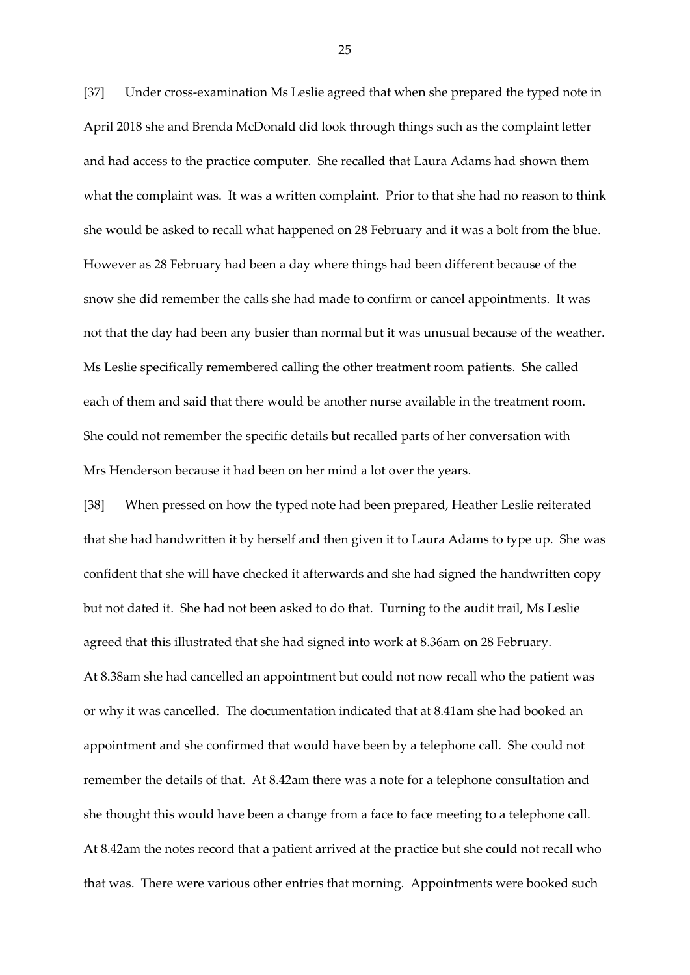[37] Under cross-examination Ms Leslie agreed that when she prepared the typed note in April 2018 she and Brenda McDonald did look through things such as the complaint letter and had access to the practice computer. She recalled that Laura Adams had shown them what the complaint was. It was a written complaint. Prior to that she had no reason to think she would be asked to recall what happened on 28 February and it was a bolt from the blue. However as 28 February had been a day where things had been different because of the snow she did remember the calls she had made to confirm or cancel appointments. It was not that the day had been any busier than normal but it was unusual because of the weather. Ms Leslie specifically remembered calling the other treatment room patients. She called each of them and said that there would be another nurse available in the treatment room. She could not remember the specific details but recalled parts of her conversation with Mrs Henderson because it had been on her mind a lot over the years.

[38] When pressed on how the typed note had been prepared, Heather Leslie reiterated that she had handwritten it by herself and then given it to Laura Adams to type up. She was confident that she will have checked it afterwards and she had signed the handwritten copy but not dated it. She had not been asked to do that. Turning to the audit trail, Ms Leslie agreed that this illustrated that she had signed into work at 8.36am on 28 February. At 8.38am she had cancelled an appointment but could not now recall who the patient was or why it was cancelled. The documentation indicated that at 8.41am she had booked an appointment and she confirmed that would have been by a telephone call. She could not remember the details of that. At 8.42am there was a note for a telephone consultation and she thought this would have been a change from a face to face meeting to a telephone call. At 8.42am the notes record that a patient arrived at the practice but she could not recall who that was. There were various other entries that morning. Appointments were booked such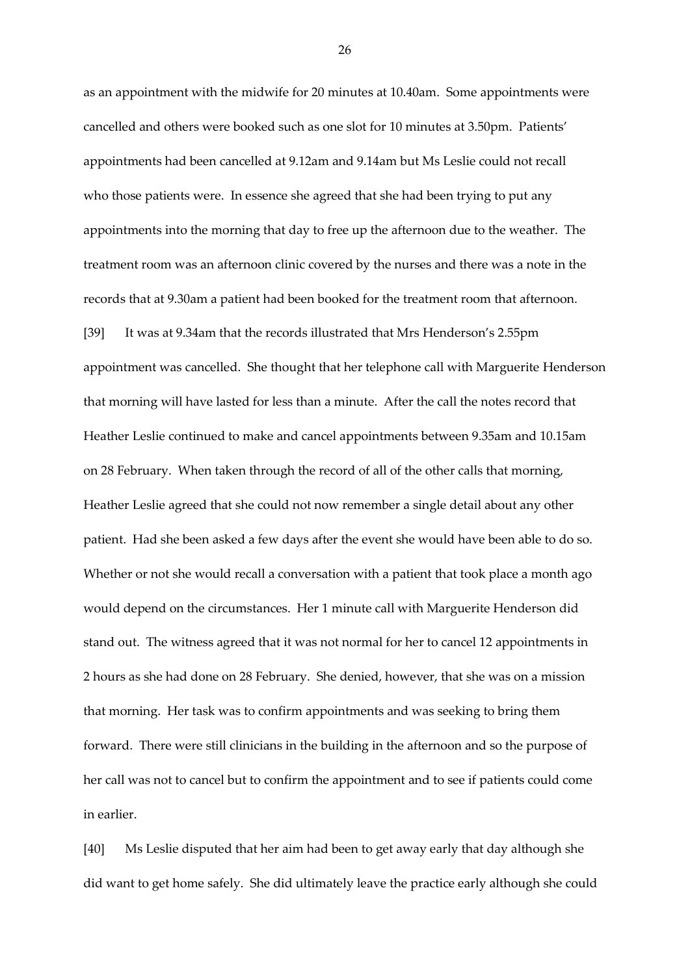as an appointment with the midwife for 20 minutes at 10.40am. Some appointments were cancelled and others were booked such as one slot for 10 minutes at 3.50pm. Patients' appointments had been cancelled at 9.12am and 9.14am but Ms Leslie could not recall who those patients were. In essence she agreed that she had been trying to put any appointments into the morning that day to free up the afternoon due to the weather. The treatment room was an afternoon clinic covered by the nurses and there was a note in the records that at 9.30am a patient had been booked for the treatment room that afternoon. [39] It was at 9.34am that the records illustrated that Mrs Henderson's 2.55pm appointment was cancelled. She thought that her telephone call with Marguerite Henderson that morning will have lasted for less than a minute. After the call the notes record that Heather Leslie continued to make and cancel appointments between 9.35am and 10.15am on 28 February. When taken through the record of all of the other calls that morning, Heather Leslie agreed that she could not now remember a single detail about any other patient. Had she been asked a few days after the event she would have been able to do so. Whether or not she would recall a conversation with a patient that took place a month ago would depend on the circumstances. Her 1 minute call with Marguerite Henderson did stand out. The witness agreed that it was not normal for her to cancel 12 appointments in 2 hours as she had done on 28 February. She denied, however, that she was on a mission that morning. Her task was to confirm appointments and was seeking to bring them forward. There were still clinicians in the building in the afternoon and so the purpose of her call was not to cancel but to confirm the appointment and to see if patients could come in earlier.

[40] Ms Leslie disputed that her aim had been to get away early that day although she did want to get home safely. She did ultimately leave the practice early although she could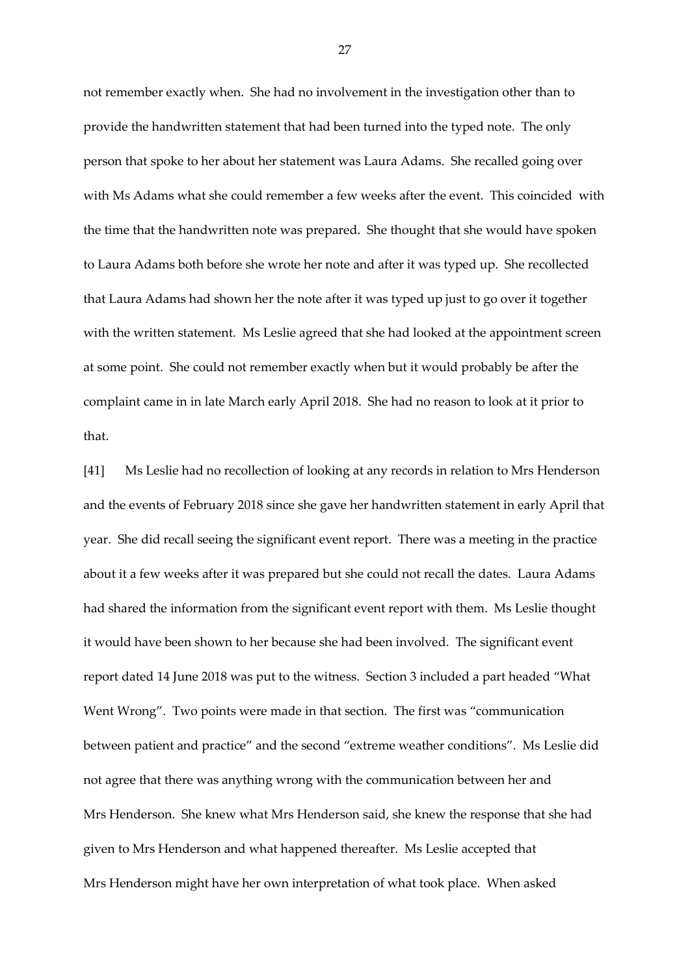not remember exactly when. She had no involvement in the investigation other than to provide the handwritten statement that had been turned into the typed note. The only person that spoke to her about her statement was Laura Adams. She recalled going over with Ms Adams what she could remember a few weeks after the event. This coincided with the time that the handwritten note was prepared. She thought that she would have spoken to Laura Adams both before she wrote her note and after it was typed up. She recollected that Laura Adams had shown her the note after it was typed up just to go over it together with the written statement. Ms Leslie agreed that she had looked at the appointment screen at some point. She could not remember exactly when but it would probably be after the complaint came in in late March early April 2018. She had no reason to look at it prior to that.

[41] Ms Leslie had no recollection of looking at any records in relation to Mrs Henderson and the events of February 2018 since she gave her handwritten statement in early April that year. She did recall seeing the significant event report. There was a meeting in the practice about it a few weeks after it was prepared but she could not recall the dates. Laura Adams had shared the information from the significant event report with them. Ms Leslie thought it would have been shown to her because she had been involved. The significant event report dated 14 June 2018 was put to the witness. Section 3 included a part headed "What Went Wrong". Two points were made in that section. The first was "communication between patient and practice" and the second "extreme weather conditions". Ms Leslie did not agree that there was anything wrong with the communication between her and Mrs Henderson. She knew what Mrs Henderson said, she knew the response that she had given to Mrs Henderson and what happened thereafter. Ms Leslie accepted that Mrs Henderson might have her own interpretation of what took place. When asked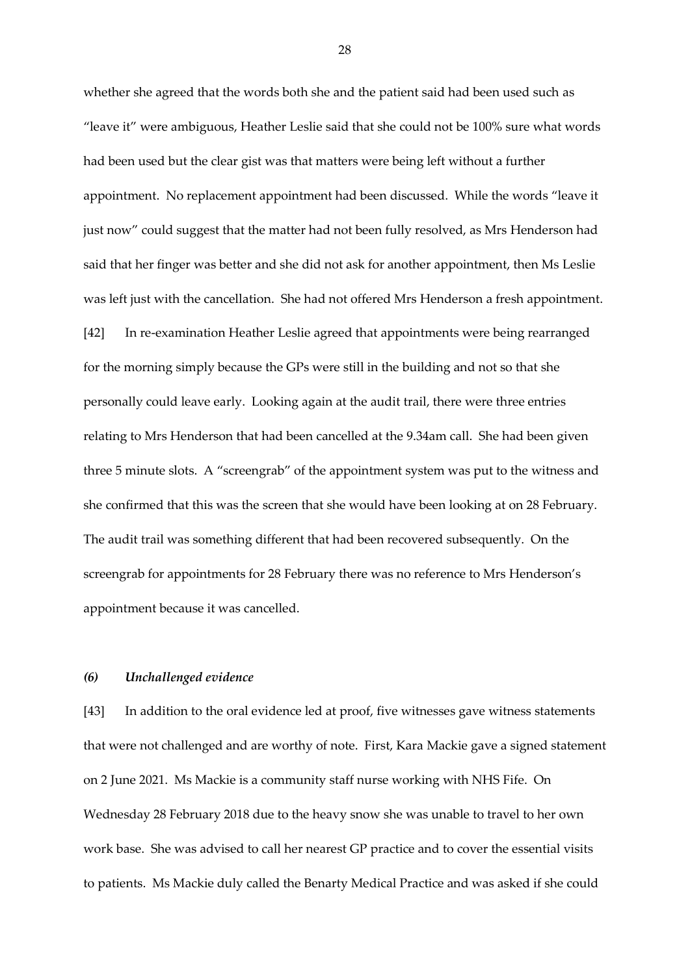whether she agreed that the words both she and the patient said had been used such as "leave it" were ambiguous, Heather Leslie said that she could not be 100% sure what words had been used but the clear gist was that matters were being left without a further appointment. No replacement appointment had been discussed. While the words "leave it just now" could suggest that the matter had not been fully resolved, as Mrs Henderson had said that her finger was better and she did not ask for another appointment, then Ms Leslie was left just with the cancellation. She had not offered Mrs Henderson a fresh appointment. [42] In re-examination Heather Leslie agreed that appointments were being rearranged for the morning simply because the GPs were still in the building and not so that she personally could leave early. Looking again at the audit trail, there were three entries relating to Mrs Henderson that had been cancelled at the 9.34am call. She had been given three 5 minute slots. A "screengrab" of the appointment system was put to the witness and she confirmed that this was the screen that she would have been looking at on 28 February. The audit trail was something different that had been recovered subsequently. On the screengrab for appointments for 28 February there was no reference to Mrs Henderson's appointment because it was cancelled.

# *(6) Unchallenged evidence*

[43] In addition to the oral evidence led at proof, five witnesses gave witness statements that were not challenged and are worthy of note. First, Kara Mackie gave a signed statement on 2 June 2021. Ms Mackie is a community staff nurse working with NHS Fife. On Wednesday 28 February 2018 due to the heavy snow she was unable to travel to her own work base. She was advised to call her nearest GP practice and to cover the essential visits to patients. Ms Mackie duly called the Benarty Medical Practice and was asked if she could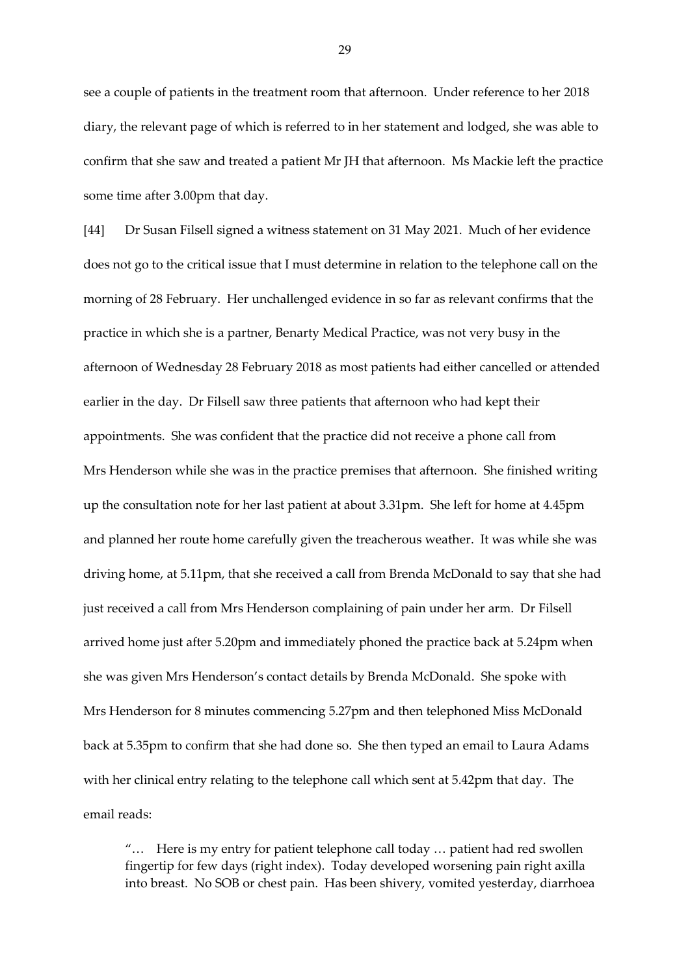see a couple of patients in the treatment room that afternoon. Under reference to her 2018 diary, the relevant page of which is referred to in her statement and lodged, she was able to confirm that she saw and treated a patient Mr JH that afternoon. Ms Mackie left the practice some time after 3.00pm that day.

[44] Dr Susan Filsell signed a witness statement on 31 May 2021. Much of her evidence does not go to the critical issue that I must determine in relation to the telephone call on the morning of 28 February. Her unchallenged evidence in so far as relevant confirms that the practice in which she is a partner, Benarty Medical Practice, was not very busy in the afternoon of Wednesday 28 February 2018 as most patients had either cancelled or attended earlier in the day. Dr Filsell saw three patients that afternoon who had kept their appointments. She was confident that the practice did not receive a phone call from Mrs Henderson while she was in the practice premises that afternoon. She finished writing up the consultation note for her last patient at about 3.31pm. She left for home at 4.45pm and planned her route home carefully given the treacherous weather. It was while she was driving home, at 5.11pm, that she received a call from Brenda McDonald to say that she had just received a call from Mrs Henderson complaining of pain under her arm. Dr Filsell arrived home just after 5.20pm and immediately phoned the practice back at 5.24pm when she was given Mrs Henderson's contact details by Brenda McDonald. She spoke with Mrs Henderson for 8 minutes commencing 5.27pm and then telephoned Miss McDonald back at 5.35pm to confirm that she had done so. She then typed an email to Laura Adams with her clinical entry relating to the telephone call which sent at 5.42pm that day. The email reads:

"… Here is my entry for patient telephone call today … patient had red swollen fingertip for few days (right index). Today developed worsening pain right axilla into breast. No SOB or chest pain. Has been shivery, vomited yesterday, diarrhoea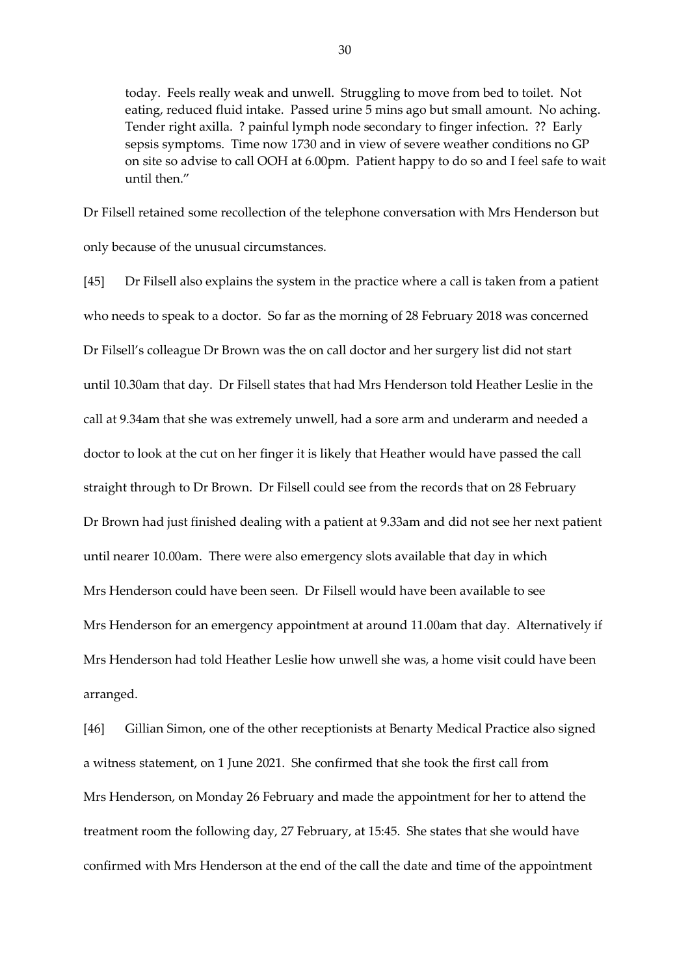today. Feels really weak and unwell. Struggling to move from bed to toilet. Not eating, reduced fluid intake. Passed urine 5 mins ago but small amount. No aching. Tender right axilla. ? painful lymph node secondary to finger infection. ?? Early sepsis symptoms. Time now 1730 and in view of severe weather conditions no GP on site so advise to call OOH at 6.00pm. Patient happy to do so and I feel safe to wait until then."

Dr Filsell retained some recollection of the telephone conversation with Mrs Henderson but only because of the unusual circumstances.

[45] Dr Filsell also explains the system in the practice where a call is taken from a patient who needs to speak to a doctor. So far as the morning of 28 February 2018 was concerned Dr Filsell's colleague Dr Brown was the on call doctor and her surgery list did not start until 10.30am that day. Dr Filsell states that had Mrs Henderson told Heather Leslie in the call at 9.34am that she was extremely unwell, had a sore arm and underarm and needed a doctor to look at the cut on her finger it is likely that Heather would have passed the call straight through to Dr Brown. Dr Filsell could see from the records that on 28 February Dr Brown had just finished dealing with a patient at 9.33am and did not see her next patient until nearer 10.00am. There were also emergency slots available that day in which Mrs Henderson could have been seen. Dr Filsell would have been available to see Mrs Henderson for an emergency appointment at around 11.00am that day. Alternatively if Mrs Henderson had told Heather Leslie how unwell she was, a home visit could have been arranged.

[46] Gillian Simon, one of the other receptionists at Benarty Medical Practice also signed a witness statement, on 1 June 2021. She confirmed that she took the first call from Mrs Henderson, on Monday 26 February and made the appointment for her to attend the treatment room the following day, 27 February, at 15:45. She states that she would have confirmed with Mrs Henderson at the end of the call the date and time of the appointment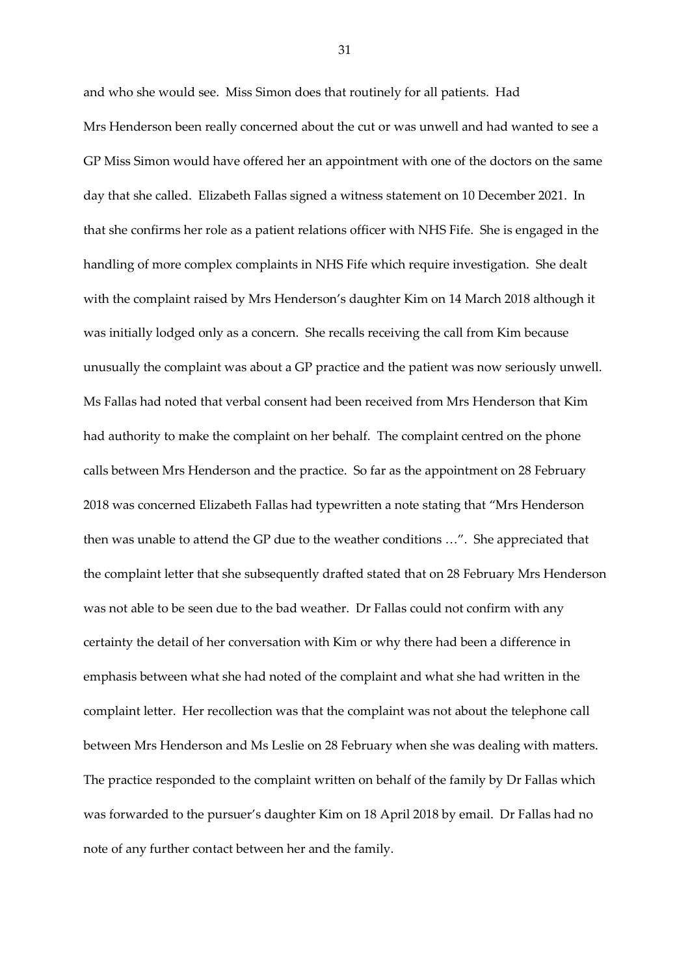and who she would see. Miss Simon does that routinely for all patients. Had Mrs Henderson been really concerned about the cut or was unwell and had wanted to see a GP Miss Simon would have offered her an appointment with one of the doctors on the same day that she called. Elizabeth Fallas signed a witness statement on 10 December 2021. In that she confirms her role as a patient relations officer with NHS Fife. She is engaged in the handling of more complex complaints in NHS Fife which require investigation. She dealt with the complaint raised by Mrs Henderson's daughter Kim on 14 March 2018 although it was initially lodged only as a concern. She recalls receiving the call from Kim because unusually the complaint was about a GP practice and the patient was now seriously unwell. Ms Fallas had noted that verbal consent had been received from Mrs Henderson that Kim had authority to make the complaint on her behalf. The complaint centred on the phone calls between Mrs Henderson and the practice. So far as the appointment on 28 February 2018 was concerned Elizabeth Fallas had typewritten a note stating that "Mrs Henderson then was unable to attend the GP due to the weather conditions …". She appreciated that the complaint letter that she subsequently drafted stated that on 28 February Mrs Henderson was not able to be seen due to the bad weather. Dr Fallas could not confirm with any certainty the detail of her conversation with Kim or why there had been a difference in emphasis between what she had noted of the complaint and what she had written in the complaint letter. Her recollection was that the complaint was not about the telephone call between Mrs Henderson and Ms Leslie on 28 February when she was dealing with matters. The practice responded to the complaint written on behalf of the family by Dr Fallas which was forwarded to the pursuer's daughter Kim on 18 April 2018 by email. Dr Fallas had no note of any further contact between her and the family.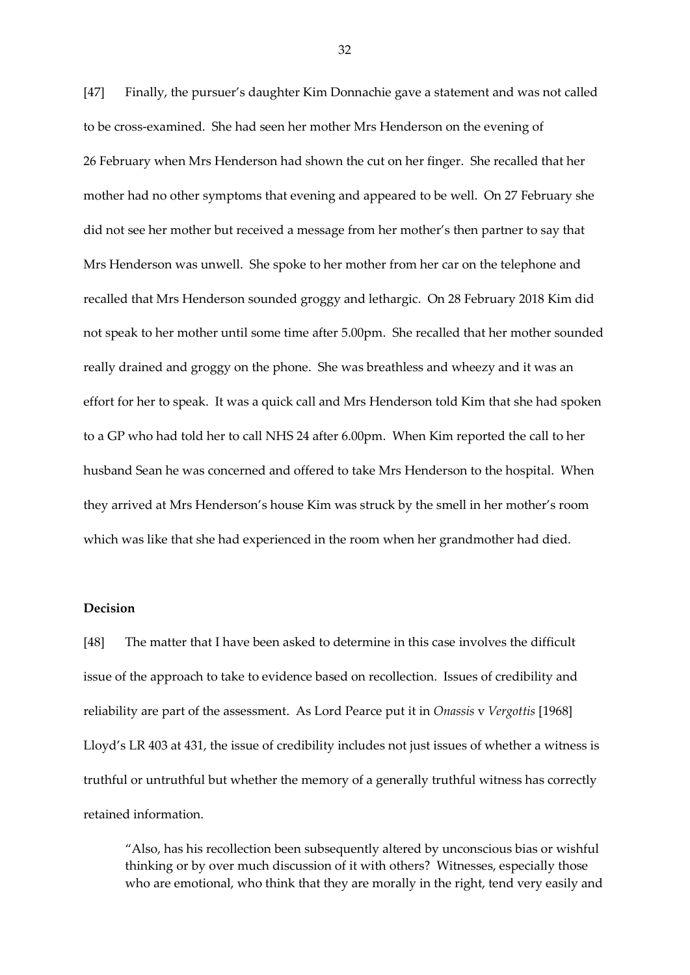[47] Finally, the pursuer's daughter Kim Donnachie gave a statement and was not called to be cross-examined. She had seen her mother Mrs Henderson on the evening of 26 February when Mrs Henderson had shown the cut on her finger. She recalled that her mother had no other symptoms that evening and appeared to be well. On 27 February she did not see her mother but received a message from her mother's then partner to say that Mrs Henderson was unwell. She spoke to her mother from her car on the telephone and recalled that Mrs Henderson sounded groggy and lethargic. On 28 February 2018 Kim did not speak to her mother until some time after 5.00pm. She recalled that her mother sounded really drained and groggy on the phone. She was breathless and wheezy and it was an effort for her to speak. It was a quick call and Mrs Henderson told Kim that she had spoken to a GP who had told her to call NHS 24 after 6.00pm. When Kim reported the call to her husband Sean he was concerned and offered to take Mrs Henderson to the hospital. When they arrived at Mrs Henderson's house Kim was struck by the smell in her mother's room which was like that she had experienced in the room when her grandmother had died.

### **Decision**

[48] The matter that I have been asked to determine in this case involves the difficult issue of the approach to take to evidence based on recollection. Issues of credibility and reliability are part of the assessment. As Lord Pearce put it in *Onassis* v *Vergottis* [1968] Lloyd's LR 403 at 431, the issue of credibility includes not just issues of whether a witness is truthful or untruthful but whether the memory of a generally truthful witness has correctly retained information.

"Also, has his recollection been subsequently altered by unconscious bias or wishful thinking or by over much discussion of it with others? Witnesses, especially those who are emotional, who think that they are morally in the right, tend very easily and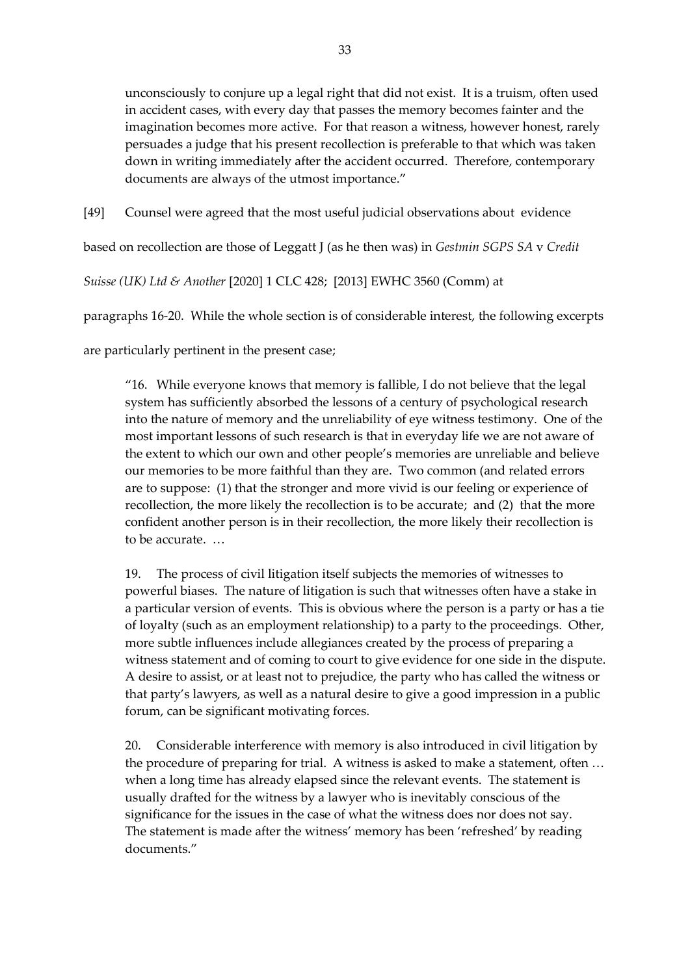unconsciously to conjure up a legal right that did not exist. It is a truism, often used in accident cases, with every day that passes the memory becomes fainter and the imagination becomes more active. For that reason a witness, however honest, rarely persuades a judge that his present recollection is preferable to that which was taken down in writing immediately after the accident occurred. Therefore, contemporary documents are always of the utmost importance."

[49] Counsel were agreed that the most useful judicial observations about evidence

based on recollection are those of Leggatt J (as he then was) in *Gestmin SGPS SA* v *Credit* 

*Suisse (UK) Ltd & Another* [2020] 1 CLC 428; [2013] EWHC 3560 (Comm) at

paragraphs 16-20. While the whole section is of considerable interest, the following excerpts

are particularly pertinent in the present case;

"16. While everyone knows that memory is fallible, I do not believe that the legal system has sufficiently absorbed the lessons of a century of psychological research into the nature of memory and the unreliability of eye witness testimony. One of the most important lessons of such research is that in everyday life we are not aware of the extent to which our own and other people's memories are unreliable and believe our memories to be more faithful than they are. Two common (and related errors are to suppose: (1) that the stronger and more vivid is our feeling or experience of recollection, the more likely the recollection is to be accurate; and (2) that the more confident another person is in their recollection, the more likely their recollection is to be accurate. …

19. The process of civil litigation itself subjects the memories of witnesses to powerful biases. The nature of litigation is such that witnesses often have a stake in a particular version of events. This is obvious where the person is a party or has a tie of loyalty (such as an employment relationship) to a party to the proceedings. Other, more subtle influences include allegiances created by the process of preparing a witness statement and of coming to court to give evidence for one side in the dispute. A desire to assist, or at least not to prejudice, the party who has called the witness or that party's lawyers, as well as a natural desire to give a good impression in a public forum, can be significant motivating forces.

20. Considerable interference with memory is also introduced in civil litigation by the procedure of preparing for trial. A witness is asked to make a statement, often … when a long time has already elapsed since the relevant events. The statement is usually drafted for the witness by a lawyer who is inevitably conscious of the significance for the issues in the case of what the witness does nor does not say. The statement is made after the witness' memory has been 'refreshed' by reading documents."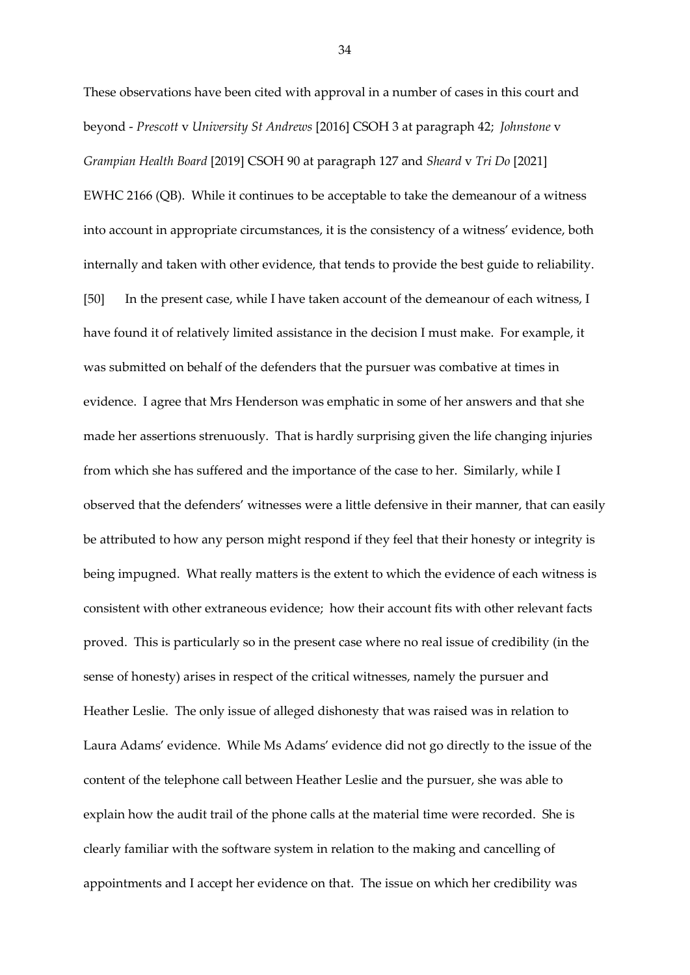These observations have been cited with approval in a number of cases in this court and beyond - *Prescott* v *University St Andrews* [2016] CSOH 3 at paragraph 42; *Johnstone* v *Grampian Health Board* [2019] CSOH 90 at paragraph 127 and *Sheard* v *Tri Do* [2021] EWHC 2166 (QB). While it continues to be acceptable to take the demeanour of a witness into account in appropriate circumstances, it is the consistency of a witness' evidence, both internally and taken with other evidence, that tends to provide the best guide to reliability. [50] In the present case, while I have taken account of the demeanour of each witness, I have found it of relatively limited assistance in the decision I must make. For example, it was submitted on behalf of the defenders that the pursuer was combative at times in evidence. I agree that Mrs Henderson was emphatic in some of her answers and that she made her assertions strenuously. That is hardly surprising given the life changing injuries from which she has suffered and the importance of the case to her. Similarly, while I observed that the defenders' witnesses were a little defensive in their manner, that can easily be attributed to how any person might respond if they feel that their honesty or integrity is being impugned. What really matters is the extent to which the evidence of each witness is consistent with other extraneous evidence; how their account fits with other relevant facts proved. This is particularly so in the present case where no real issue of credibility (in the sense of honesty) arises in respect of the critical witnesses, namely the pursuer and Heather Leslie. The only issue of alleged dishonesty that was raised was in relation to Laura Adams' evidence. While Ms Adams' evidence did not go directly to the issue of the content of the telephone call between Heather Leslie and the pursuer, she was able to explain how the audit trail of the phone calls at the material time were recorded. She is clearly familiar with the software system in relation to the making and cancelling of appointments and I accept her evidence on that. The issue on which her credibility was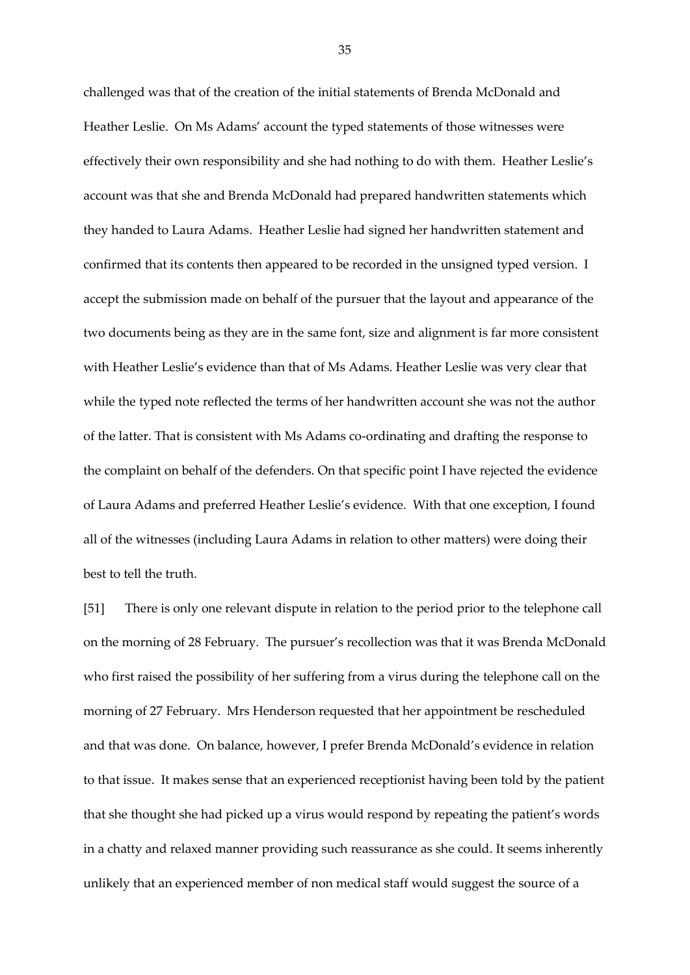challenged was that of the creation of the initial statements of Brenda McDonald and Heather Leslie. On Ms Adams' account the typed statements of those witnesses were effectively their own responsibility and she had nothing to do with them. Heather Leslie's account was that she and Brenda McDonald had prepared handwritten statements which they handed to Laura Adams. Heather Leslie had signed her handwritten statement and confirmed that its contents then appeared to be recorded in the unsigned typed version. I accept the submission made on behalf of the pursuer that the layout and appearance of the two documents being as they are in the same font, size and alignment is far more consistent with Heather Leslie's evidence than that of Ms Adams. Heather Leslie was very clear that while the typed note reflected the terms of her handwritten account she was not the author of the latter. That is consistent with Ms Adams co-ordinating and drafting the response to the complaint on behalf of the defenders. On that specific point I have rejected the evidence of Laura Adams and preferred Heather Leslie's evidence. With that one exception, I found all of the witnesses (including Laura Adams in relation to other matters) were doing their best to tell the truth.

[51] There is only one relevant dispute in relation to the period prior to the telephone call on the morning of 28 February. The pursuer's recollection was that it was Brenda McDonald who first raised the possibility of her suffering from a virus during the telephone call on the morning of 27 February. Mrs Henderson requested that her appointment be rescheduled and that was done. On balance, however, I prefer Brenda McDonald's evidence in relation to that issue. It makes sense that an experienced receptionist having been told by the patient that she thought she had picked up a virus would respond by repeating the patient's words in a chatty and relaxed manner providing such reassurance as she could. It seems inherently unlikely that an experienced member of non medical staff would suggest the source of a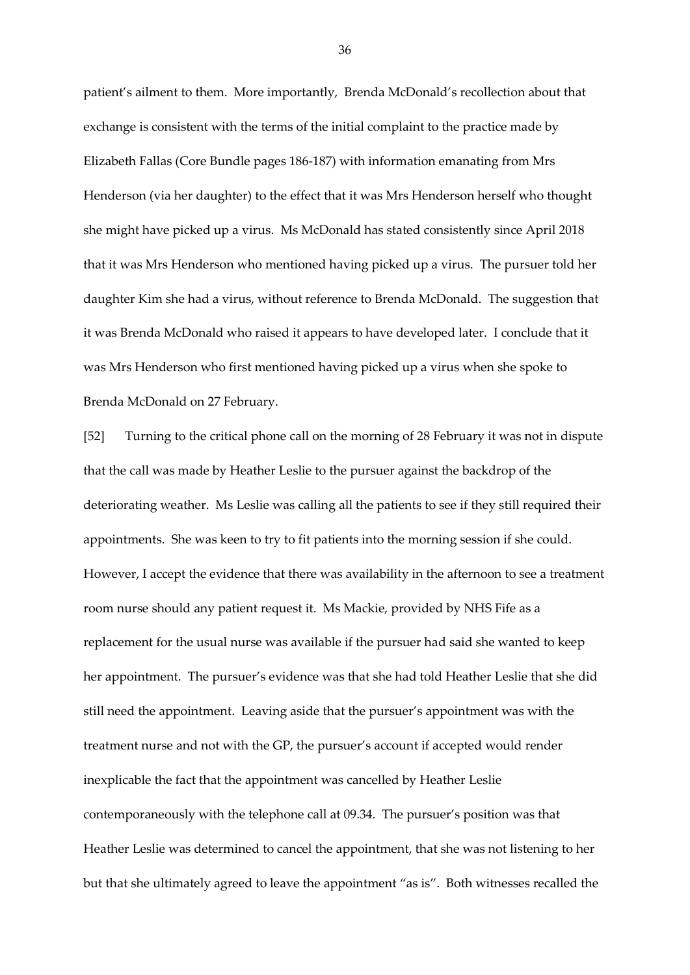patient's ailment to them. More importantly, Brenda McDonald's recollection about that exchange is consistent with the terms of the initial complaint to the practice made by Elizabeth Fallas (Core Bundle pages 186-187) with information emanating from Mrs Henderson (via her daughter) to the effect that it was Mrs Henderson herself who thought she might have picked up a virus. Ms McDonald has stated consistently since April 2018 that it was Mrs Henderson who mentioned having picked up a virus. The pursuer told her daughter Kim she had a virus, without reference to Brenda McDonald. The suggestion that it was Brenda McDonald who raised it appears to have developed later. I conclude that it was Mrs Henderson who first mentioned having picked up a virus when she spoke to Brenda McDonald on 27 February.

[52] Turning to the critical phone call on the morning of 28 February it was not in dispute that the call was made by Heather Leslie to the pursuer against the backdrop of the deteriorating weather. Ms Leslie was calling all the patients to see if they still required their appointments. She was keen to try to fit patients into the morning session if she could. However, I accept the evidence that there was availability in the afternoon to see a treatment room nurse should any patient request it. Ms Mackie, provided by NHS Fife as a replacement for the usual nurse was available if the pursuer had said she wanted to keep her appointment. The pursuer's evidence was that she had told Heather Leslie that she did still need the appointment. Leaving aside that the pursuer's appointment was with the treatment nurse and not with the GP, the pursuer's account if accepted would render inexplicable the fact that the appointment was cancelled by Heather Leslie contemporaneously with the telephone call at 09.34. The pursuer's position was that Heather Leslie was determined to cancel the appointment, that she was not listening to her but that she ultimately agreed to leave the appointment "as is". Both witnesses recalled the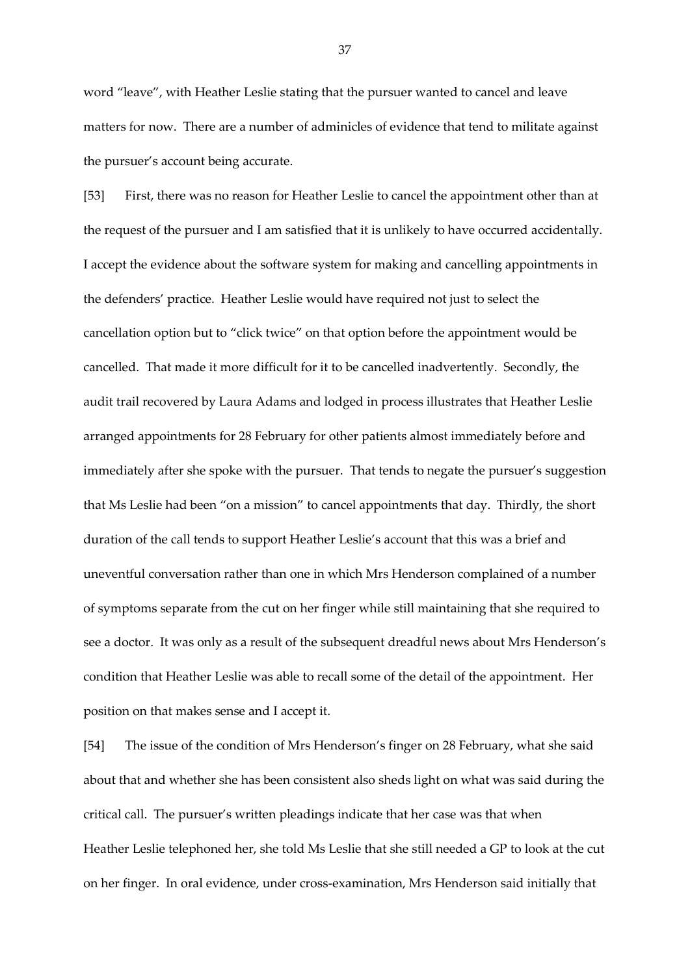word "leave", with Heather Leslie stating that the pursuer wanted to cancel and leave matters for now. There are a number of adminicles of evidence that tend to militate against the pursuer's account being accurate.

[53] First, there was no reason for Heather Leslie to cancel the appointment other than at the request of the pursuer and I am satisfied that it is unlikely to have occurred accidentally. I accept the evidence about the software system for making and cancelling appointments in the defenders' practice. Heather Leslie would have required not just to select the cancellation option but to "click twice" on that option before the appointment would be cancelled. That made it more difficult for it to be cancelled inadvertently. Secondly, the audit trail recovered by Laura Adams and lodged in process illustrates that Heather Leslie arranged appointments for 28 February for other patients almost immediately before and immediately after she spoke with the pursuer. That tends to negate the pursuer's suggestion that Ms Leslie had been "on a mission" to cancel appointments that day. Thirdly, the short duration of the call tends to support Heather Leslie's account that this was a brief and uneventful conversation rather than one in which Mrs Henderson complained of a number of symptoms separate from the cut on her finger while still maintaining that she required to see a doctor. It was only as a result of the subsequent dreadful news about Mrs Henderson's condition that Heather Leslie was able to recall some of the detail of the appointment. Her position on that makes sense and I accept it.

[54] The issue of the condition of Mrs Henderson's finger on 28 February, what she said about that and whether she has been consistent also sheds light on what was said during the critical call. The pursuer's written pleadings indicate that her case was that when Heather Leslie telephoned her, she told Ms Leslie that she still needed a GP to look at the cut on her finger. In oral evidence, under cross-examination, Mrs Henderson said initially that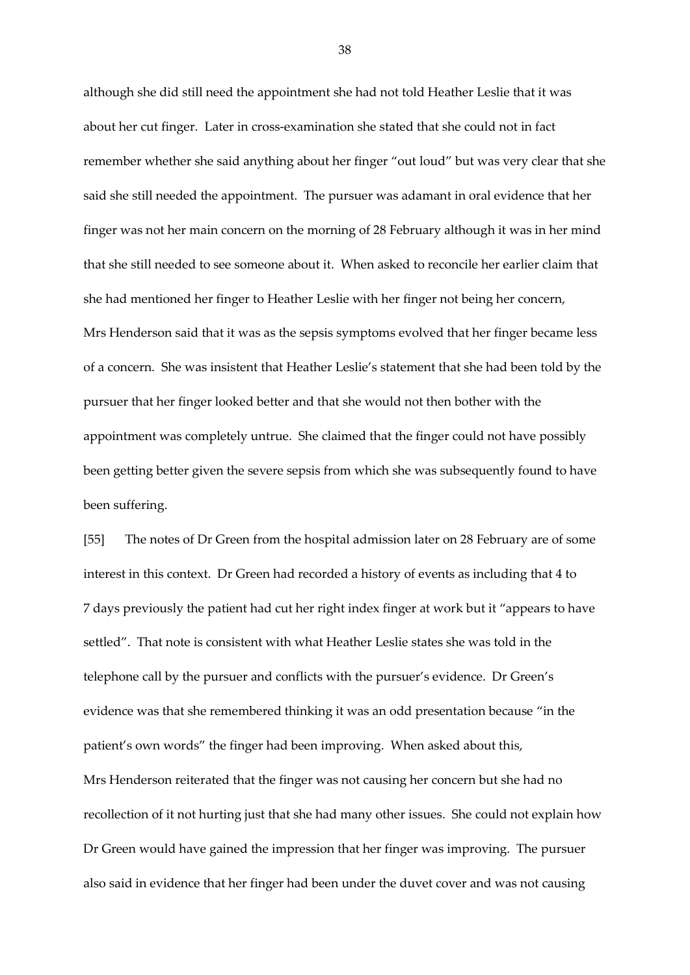although she did still need the appointment she had not told Heather Leslie that it was about her cut finger. Later in cross-examination she stated that she could not in fact remember whether she said anything about her finger "out loud" but was very clear that she said she still needed the appointment. The pursuer was adamant in oral evidence that her finger was not her main concern on the morning of 28 February although it was in her mind that she still needed to see someone about it. When asked to reconcile her earlier claim that she had mentioned her finger to Heather Leslie with her finger not being her concern, Mrs Henderson said that it was as the sepsis symptoms evolved that her finger became less of a concern. She was insistent that Heather Leslie's statement that she had been told by the pursuer that her finger looked better and that she would not then bother with the appointment was completely untrue. She claimed that the finger could not have possibly been getting better given the severe sepsis from which she was subsequently found to have been suffering.

[55] The notes of Dr Green from the hospital admission later on 28 February are of some interest in this context. Dr Green had recorded a history of events as including that 4 to 7 days previously the patient had cut her right index finger at work but it "appears to have settled". That note is consistent with what Heather Leslie states she was told in the telephone call by the pursuer and conflicts with the pursuer's evidence. Dr Green's evidence was that she remembered thinking it was an odd presentation because "in the patient's own words" the finger had been improving. When asked about this, Mrs Henderson reiterated that the finger was not causing her concern but she had no recollection of it not hurting just that she had many other issues. She could not explain how Dr Green would have gained the impression that her finger was improving. The pursuer also said in evidence that her finger had been under the duvet cover and was not causing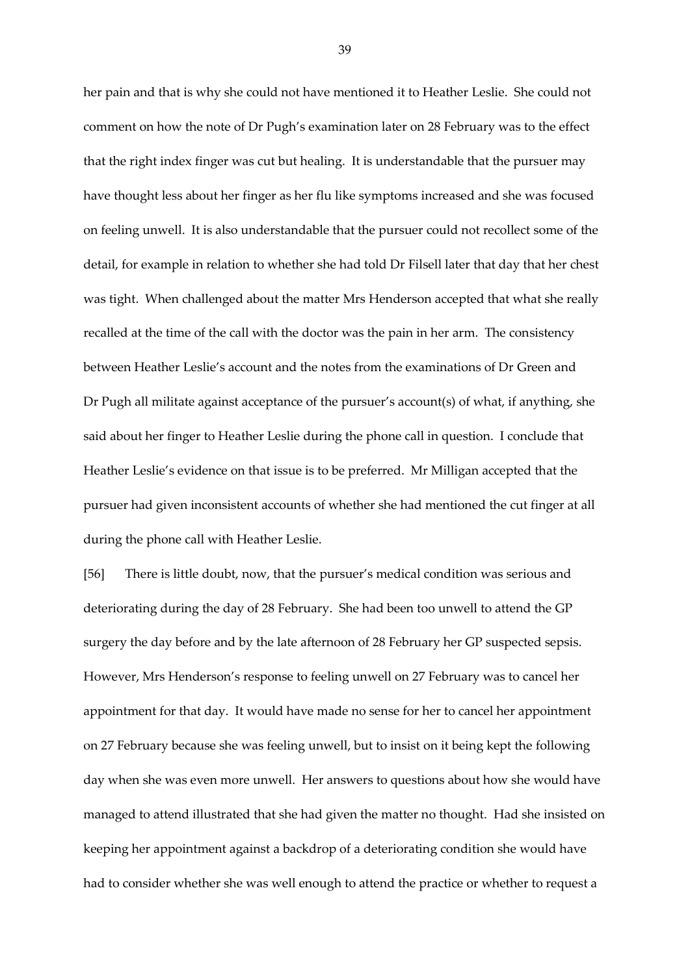her pain and that is why she could not have mentioned it to Heather Leslie. She could not comment on how the note of Dr Pugh's examination later on 28 February was to the effect that the right index finger was cut but healing. It is understandable that the pursuer may have thought less about her finger as her flu like symptoms increased and she was focused on feeling unwell. It is also understandable that the pursuer could not recollect some of the detail, for example in relation to whether she had told Dr Filsell later that day that her chest was tight. When challenged about the matter Mrs Henderson accepted that what she really recalled at the time of the call with the doctor was the pain in her arm. The consistency between Heather Leslie's account and the notes from the examinations of Dr Green and Dr Pugh all militate against acceptance of the pursuer's account(s) of what, if anything, she said about her finger to Heather Leslie during the phone call in question. I conclude that Heather Leslie's evidence on that issue is to be preferred. Mr Milligan accepted that the pursuer had given inconsistent accounts of whether she had mentioned the cut finger at all during the phone call with Heather Leslie.

[56] There is little doubt, now, that the pursuer's medical condition was serious and deteriorating during the day of 28 February. She had been too unwell to attend the GP surgery the day before and by the late afternoon of 28 February her GP suspected sepsis. However, Mrs Henderson's response to feeling unwell on 27 February was to cancel her appointment for that day. It would have made no sense for her to cancel her appointment on 27 February because she was feeling unwell, but to insist on it being kept the following day when she was even more unwell. Her answers to questions about how she would have managed to attend illustrated that she had given the matter no thought. Had she insisted on keeping her appointment against a backdrop of a deteriorating condition she would have had to consider whether she was well enough to attend the practice or whether to request a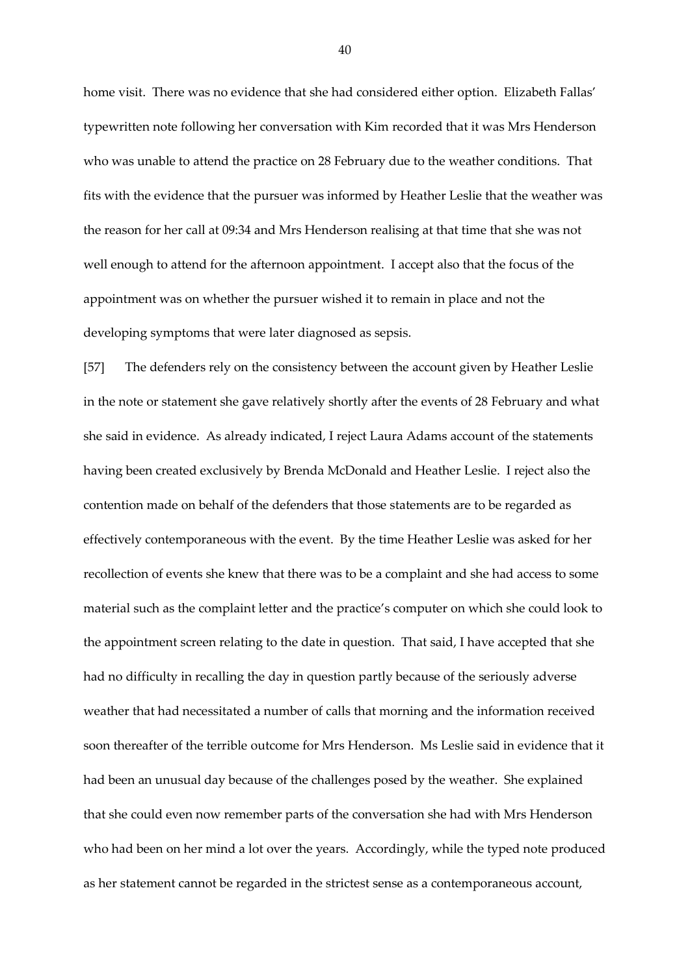home visit. There was no evidence that she had considered either option. Elizabeth Fallas' typewritten note following her conversation with Kim recorded that it was Mrs Henderson who was unable to attend the practice on 28 February due to the weather conditions. That fits with the evidence that the pursuer was informed by Heather Leslie that the weather was the reason for her call at 09:34 and Mrs Henderson realising at that time that she was not well enough to attend for the afternoon appointment. I accept also that the focus of the appointment was on whether the pursuer wished it to remain in place and not the developing symptoms that were later diagnosed as sepsis.

[57] The defenders rely on the consistency between the account given by Heather Leslie in the note or statement she gave relatively shortly after the events of 28 February and what she said in evidence. As already indicated, I reject Laura Adams account of the statements having been created exclusively by Brenda McDonald and Heather Leslie. I reject also the contention made on behalf of the defenders that those statements are to be regarded as effectively contemporaneous with the event. By the time Heather Leslie was asked for her recollection of events she knew that there was to be a complaint and she had access to some material such as the complaint letter and the practice's computer on which she could look to the appointment screen relating to the date in question. That said, I have accepted that she had no difficulty in recalling the day in question partly because of the seriously adverse weather that had necessitated a number of calls that morning and the information received soon thereafter of the terrible outcome for Mrs Henderson. Ms Leslie said in evidence that it had been an unusual day because of the challenges posed by the weather. She explained that she could even now remember parts of the conversation she had with Mrs Henderson who had been on her mind a lot over the years. Accordingly, while the typed note produced as her statement cannot be regarded in the strictest sense as a contemporaneous account,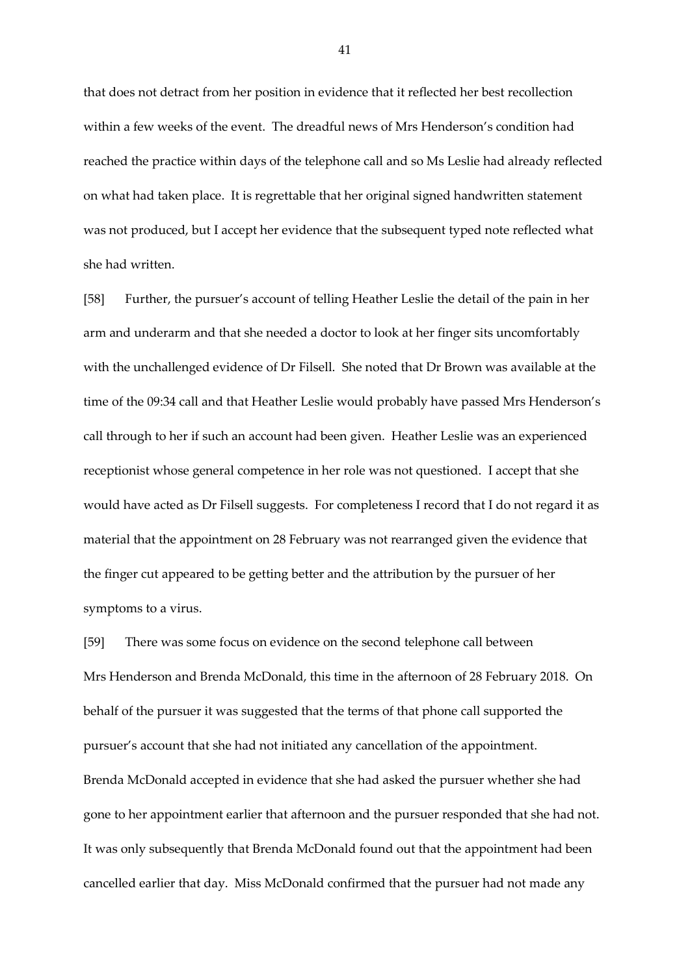that does not detract from her position in evidence that it reflected her best recollection within a few weeks of the event. The dreadful news of Mrs Henderson's condition had reached the practice within days of the telephone call and so Ms Leslie had already reflected on what had taken place. It is regrettable that her original signed handwritten statement was not produced, but I accept her evidence that the subsequent typed note reflected what she had written.

[58] Further, the pursuer's account of telling Heather Leslie the detail of the pain in her arm and underarm and that she needed a doctor to look at her finger sits uncomfortably with the unchallenged evidence of Dr Filsell. She noted that Dr Brown was available at the time of the 09:34 call and that Heather Leslie would probably have passed Mrs Henderson's call through to her if such an account had been given. Heather Leslie was an experienced receptionist whose general competence in her role was not questioned. I accept that she would have acted as Dr Filsell suggests. For completeness I record that I do not regard it as material that the appointment on 28 February was not rearranged given the evidence that the finger cut appeared to be getting better and the attribution by the pursuer of her symptoms to a virus.

[59] There was some focus on evidence on the second telephone call between Mrs Henderson and Brenda McDonald, this time in the afternoon of 28 February 2018. On behalf of the pursuer it was suggested that the terms of that phone call supported the pursuer's account that she had not initiated any cancellation of the appointment. Brenda McDonald accepted in evidence that she had asked the pursuer whether she had gone to her appointment earlier that afternoon and the pursuer responded that she had not. It was only subsequently that Brenda McDonald found out that the appointment had been cancelled earlier that day. Miss McDonald confirmed that the pursuer had not made any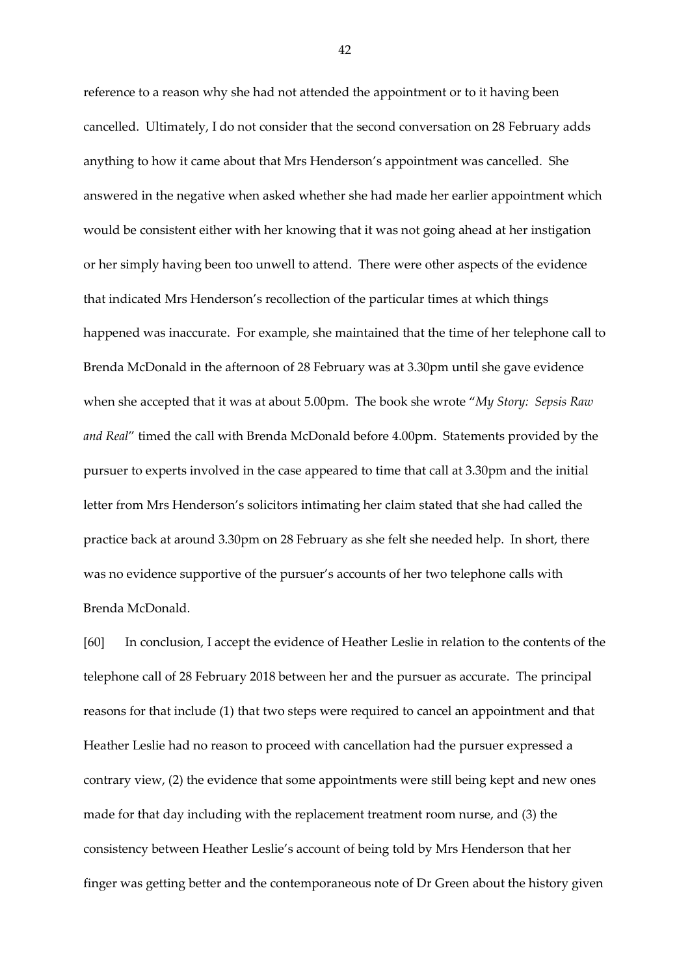reference to a reason why she had not attended the appointment or to it having been cancelled. Ultimately, I do not consider that the second conversation on 28 February adds anything to how it came about that Mrs Henderson's appointment was cancelled. She answered in the negative when asked whether she had made her earlier appointment which would be consistent either with her knowing that it was not going ahead at her instigation or her simply having been too unwell to attend. There were other aspects of the evidence that indicated Mrs Henderson's recollection of the particular times at which things happened was inaccurate. For example, she maintained that the time of her telephone call to Brenda McDonald in the afternoon of 28 February was at 3.30pm until she gave evidence when she accepted that it was at about 5.00pm. The book she wrote "*My Story: Sepsis Raw and Real*" timed the call with Brenda McDonald before 4.00pm. Statements provided by the pursuer to experts involved in the case appeared to time that call at 3.30pm and the initial letter from Mrs Henderson's solicitors intimating her claim stated that she had called the practice back at around 3.30pm on 28 February as she felt she needed help. In short, there was no evidence supportive of the pursuer's accounts of her two telephone calls with Brenda McDonald.

[60] In conclusion, I accept the evidence of Heather Leslie in relation to the contents of the telephone call of 28 February 2018 between her and the pursuer as accurate. The principal reasons for that include (1) that two steps were required to cancel an appointment and that Heather Leslie had no reason to proceed with cancellation had the pursuer expressed a contrary view, (2) the evidence that some appointments were still being kept and new ones made for that day including with the replacement treatment room nurse, and (3) the consistency between Heather Leslie's account of being told by Mrs Henderson that her finger was getting better and the contemporaneous note of Dr Green about the history given